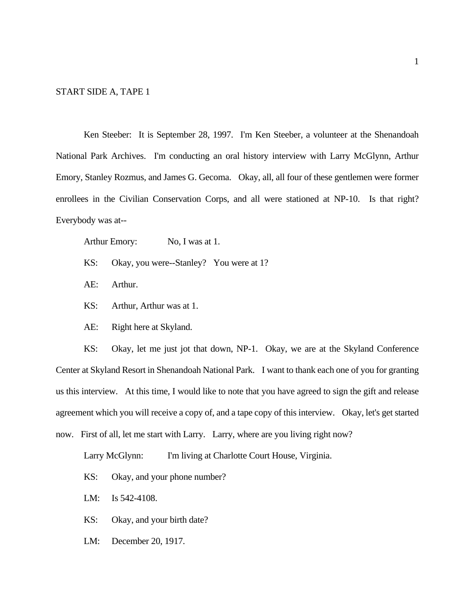#### START SIDE A, TAPE 1

Ken Steeber: It is September 28, 1997. I'm Ken Steeber, a volunteer at the Shenandoah National Park Archives. I'm conducting an oral history interview with Larry McGlynn, Arthur Emory, Stanley Rozmus, and James G. Gecoma. Okay, all, all four of these gentlemen were former enrollees in the Civilian Conservation Corps, and all were stationed at NP-10. Is that right? Everybody was at--

Arthur Emory: No, I was at 1.

- KS: Okay, you were--Stanley? You were at 1?
- AE: Arthur.
- KS: Arthur, Arthur was at 1.
- AE: Right here at Skyland.

KS: Okay, let me just jot that down, NP-1. Okay, we are at the Skyland Conference Center at Skyland Resort in Shenandoah National Park. I want to thank each one of you for granting us this interview. At this time, I would like to note that you have agreed to sign the gift and release agreement which you will receive a copy of, and a tape copy of this interview. Okay, let's get started now. First of all, let me start with Larry. Larry, where are you living right now?

Larry McGlynn: I'm living at Charlotte Court House, Virginia.

- KS: Okay, and your phone number?
- LM: Is 542-4108.
- KS: Okay, and your birth date?
- LM: December 20, 1917.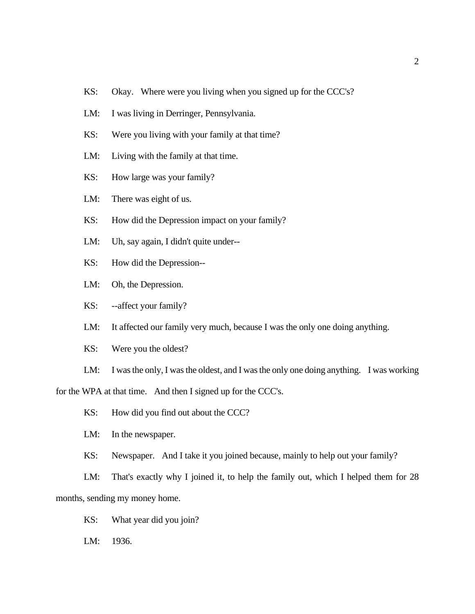- KS: Okay. Where were you living when you signed up for the CCC's?
- LM: I was living in Derringer, Pennsylvania.
- KS: Were you living with your family at that time?
- LM: Living with the family at that time.
- KS: How large was your family?

LM: There was eight of us.

- KS: How did the Depression impact on your family?
- LM: Uh, say again, I didn't quite under--
- KS: How did the Depression--
- LM: Oh, the Depression.
- KS: --affect your family?
- LM: It affected our family very much, because I was the only one doing anything.
- KS: Were you the oldest?

LM: I was the only, I was the oldest, and I was the only one doing anything. I was working for the WPA at that time. And then I signed up for the CCC's.

- KS: How did you find out about the CCC?
- LM: In the newspaper.
- KS: Newspaper. And I take it you joined because, mainly to help out your family?

LM: That's exactly why I joined it, to help the family out, which I helped them for 28 months, sending my money home.

- KS: What year did you join?
- LM: 1936.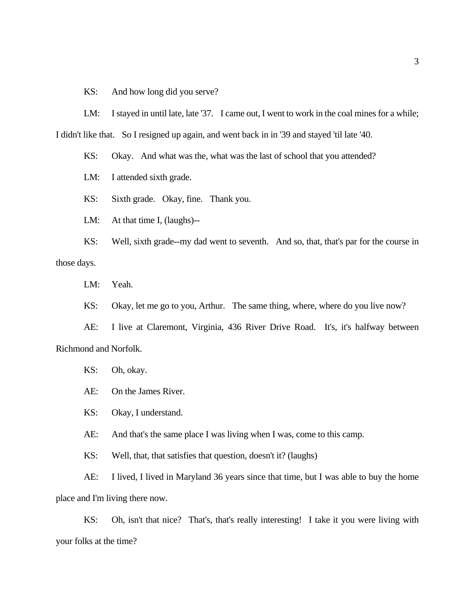KS: And how long did you serve?

LM: I stayed in until late, late '37. I came out, I went to work in the coal mines for a while; I didn't like that. So I resigned up again, and went back in in '39 and stayed 'til late '40.

KS: Okay. And what was the, what was the last of school that you attended?

LM: I attended sixth grade.

KS: Sixth grade. Okay, fine. Thank you.

LM: At that time I, (laughs)--

KS: Well, sixth grade--my dad went to seventh. And so, that, that's par for the course in those days.

LM: Yeah.

KS: Okay, let me go to you, Arthur. The same thing, where, where do you live now?

AE: I live at Claremont, Virginia, 436 River Drive Road. It's, it's halfway between Richmond and Norfolk.

KS: Oh, okay.

AE: On the James River.

KS: Okay, I understand.

AE: And that's the same place I was living when I was, come to this camp.

KS: Well, that, that satisfies that question, doesn't it? (laughs)

AE: I lived, I lived in Maryland 36 years since that time, but I was able to buy the home place and I'm living there now.

KS: Oh, isn't that nice? That's, that's really interesting! I take it you were living with your folks at the time?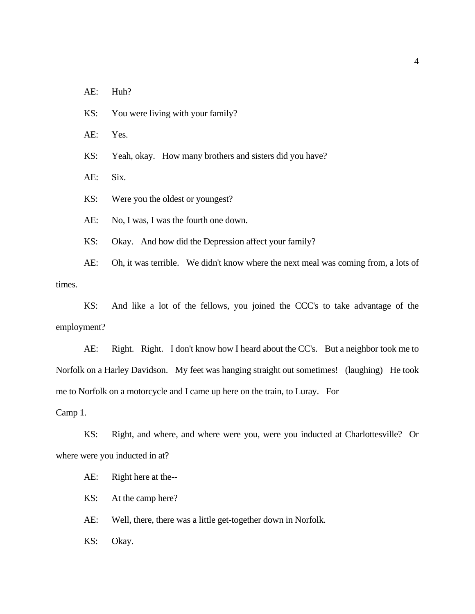AE: Huh?

KS: You were living with your family?

AE: Yes.

KS: Yeah, okay. How many brothers and sisters did you have?

AE: Six.

KS: Were you the oldest or youngest?

AE: No, I was, I was the fourth one down.

KS: Okay. And how did the Depression affect your family?

AE: Oh, it was terrible. We didn't know where the next meal was coming from, a lots of times.

KS: And like a lot of the fellows, you joined the CCC's to take advantage of the employment?

AE: Right. Right. I don't know how I heard about the CC's. But a neighbor took me to Norfolk on a Harley Davidson. My feet was hanging straight out sometimes! (laughing) He took me to Norfolk on a motorcycle and I came up here on the train, to Luray. For

Camp 1.

KS: Right, and where, and where were you, were you inducted at Charlottesville? Or where were you inducted in at?

AE: Right here at the--

KS: At the camp here?

AE: Well, there, there was a little get-together down in Norfolk.

KS: Okay.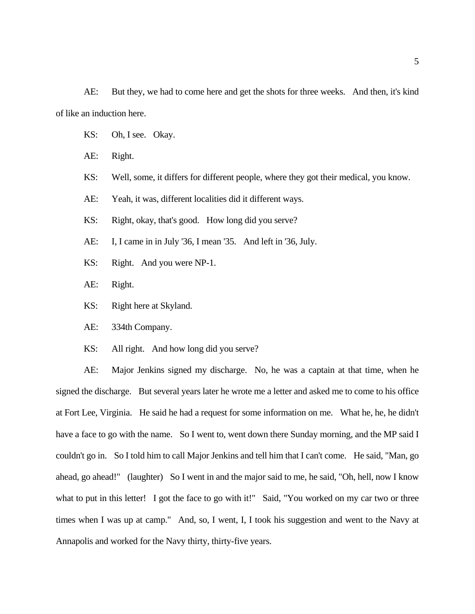AE: But they, we had to come here and get the shots for three weeks. And then, it's kind of like an induction here.

- KS: Oh, I see. Okay.
- AE: Right.
- KS: Well, some, it differs for different people, where they got their medical, you know.
- AE: Yeah, it was, different localities did it different ways.
- KS: Right, okay, that's good. How long did you serve?
- AE: I, I came in in July '36, I mean '35. And left in '36, July.
- KS: Right. And you were NP-1.
- AE: Right.
- KS: Right here at Skyland.
- AE: 334th Company.
- KS: All right. And how long did you serve?

AE: Major Jenkins signed my discharge. No, he was a captain at that time, when he signed the discharge. But several years later he wrote me a letter and asked me to come to his office at Fort Lee, Virginia. He said he had a request for some information on me. What he, he, he didn't have a face to go with the name. So I went to, went down there Sunday morning, and the MP said I couldn't go in. So I told him to call Major Jenkins and tell him that I can't come. He said, "Man, go ahead, go ahead!" (laughter) So I went in and the major said to me, he said, "Oh, hell, now I know what to put in this letter! I got the face to go with it!" Said, "You worked on my car two or three times when I was up at camp." And, so, I went, I, I took his suggestion and went to the Navy at Annapolis and worked for the Navy thirty, thirty-five years.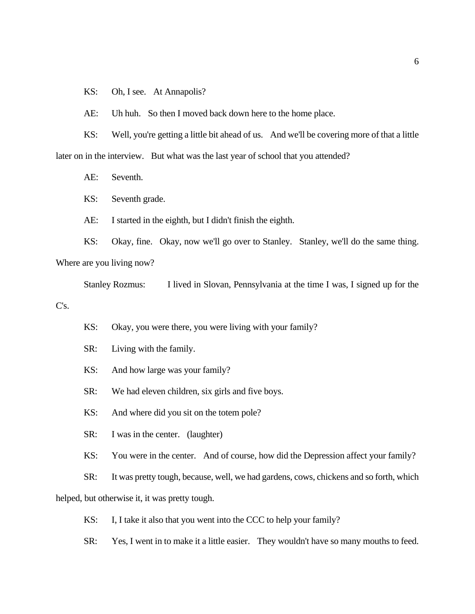KS: Oh, I see. At Annapolis?

AE: Uh huh. So then I moved back down here to the home place.

KS: Well, you're getting a little bit ahead of us. And we'll be covering more of that a little later on in the interview. But what was the last year of school that you attended?

AE: Seventh.

KS: Seventh grade.

AE: I started in the eighth, but I didn't finish the eighth.

KS: Okay, fine. Okay, now we'll go over to Stanley. Stanley, we'll do the same thing. Where are you living now?

Stanley Rozmus: I lived in Slovan, Pennsylvania at the time I was, I signed up for the C's.

KS: Okay, you were there, you were living with your family?

SR: Living with the family.

KS: And how large was your family?

SR: We had eleven children, six girls and five boys.

KS: And where did you sit on the totem pole?

SR: I was in the center. (laughter)

KS: You were in the center. And of course, how did the Depression affect your family?

SR: It was pretty tough, because, well, we had gardens, cows, chickens and so forth, which

helped, but otherwise it, it was pretty tough.

KS: I, I take it also that you went into the CCC to help your family?

SR: Yes, I went in to make it a little easier. They wouldn't have so many mouths to feed.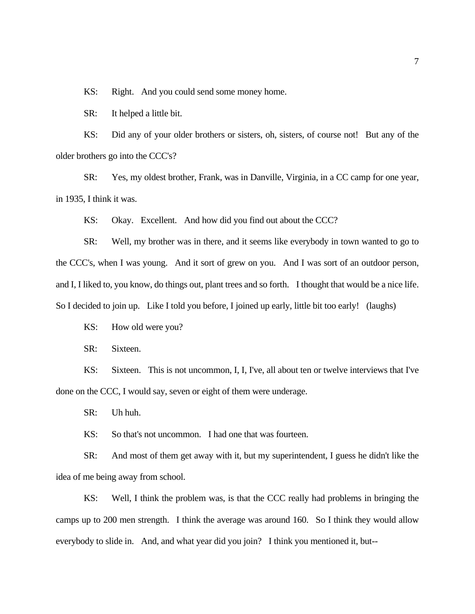KS: Right. And you could send some money home.

SR: It helped a little bit.

KS: Did any of your older brothers or sisters, oh, sisters, of course not! But any of the older brothers go into the CCC's?

SR: Yes, my oldest brother, Frank, was in Danville, Virginia, in a CC camp for one year, in 1935, I think it was.

KS: Okay. Excellent. And how did you find out about the CCC?

SR: Well, my brother was in there, and it seems like everybody in town wanted to go to the CCC's, when I was young. And it sort of grew on you. And I was sort of an outdoor person, and I, I liked to, you know, do things out, plant trees and so forth. I thought that would be a nice life. So I decided to join up. Like I told you before, I joined up early, little bit too early! (laughs)

KS: How old were you?

SR: Sixteen.

KS: Sixteen. This is not uncommon, I, I, I've, all about ten or twelve interviews that I've done on the CCC, I would say, seven or eight of them were underage.

SR: Uh huh.

KS: So that's not uncommon. I had one that was fourteen.

SR: And most of them get away with it, but my superintendent, I guess he didn't like the idea of me being away from school.

KS: Well, I think the problem was, is that the CCC really had problems in bringing the camps up to 200 men strength. I think the average was around 160. So I think they would allow everybody to slide in. And, and what year did you join? I think you mentioned it, but--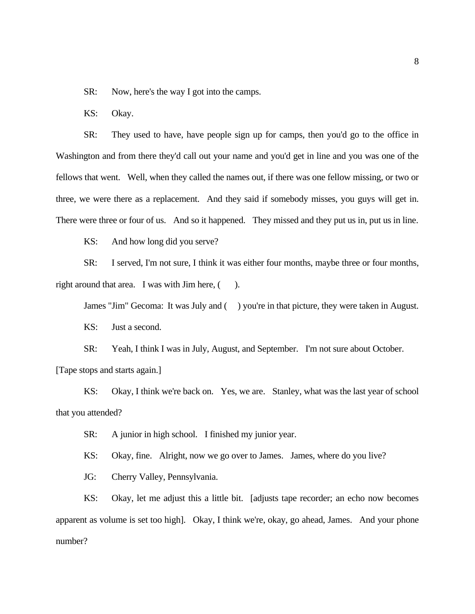SR: Now, here's the way I got into the camps.

KS: Okay.

SR: They used to have, have people sign up for camps, then you'd go to the office in Washington and from there they'd call out your name and you'd get in line and you was one of the fellows that went. Well, when they called the names out, if there was one fellow missing, or two or three, we were there as a replacement. And they said if somebody misses, you guys will get in. There were three or four of us. And so it happened. They missed and they put us in, put us in line.

KS: And how long did you serve?

SR: I served, I'm not sure, I think it was either four months, maybe three or four months, right around that area. I was with Jim here,  $($ ).

James "Jim" Gecoma: It was July and () you're in that picture, they were taken in August. KS: Just a second.

SR: Yeah, I think I was in July, August, and September. I'm not sure about October. [Tape stops and starts again.]

KS: Okay, I think we're back on. Yes, we are. Stanley, what was the last year of school that you attended?

SR: A junior in high school. I finished my junior year.

KS: Okay, fine. Alright, now we go over to James. James, where do you live?

JG: Cherry Valley, Pennsylvania.

KS: Okay, let me adjust this a little bit. [adjusts tape recorder; an echo now becomes apparent as volume is set too high]. Okay, I think we're, okay, go ahead, James. And your phone number?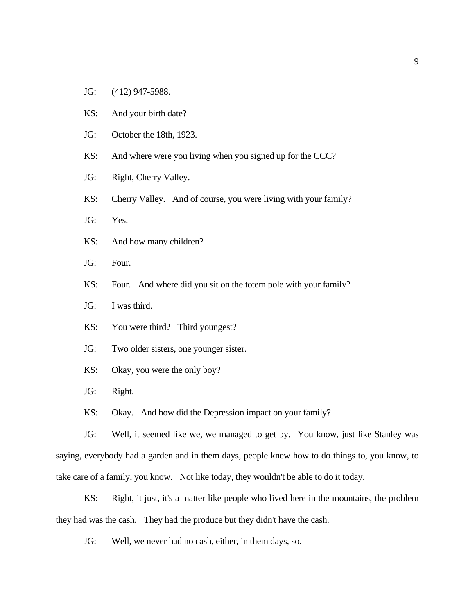- JG: (412) 947-5988.
- KS: And your birth date?
- JG: October the 18th, 1923.
- KS: And where were you living when you signed up for the CCC?
- JG: Right, Cherry Valley.
- KS: Cherry Valley. And of course, you were living with your family?
- JG: Yes.
- KS: And how many children?
- JG: Four.
- KS: Four. And where did you sit on the totem pole with your family?
- JG: I was third.
- KS: You were third? Third youngest?
- JG: Two older sisters, one younger sister.
- KS: Okay, you were the only boy?
- JG: Right.
- KS: Okay. And how did the Depression impact on your family?

JG: Well, it seemed like we, we managed to get by. You know, just like Stanley was saying, everybody had a garden and in them days, people knew how to do things to, you know, to take care of a family, you know. Not like today, they wouldn't be able to do it today.

KS: Right, it just, it's a matter like people who lived here in the mountains, the problem they had was the cash. They had the produce but they didn't have the cash.

JG: Well, we never had no cash, either, in them days, so.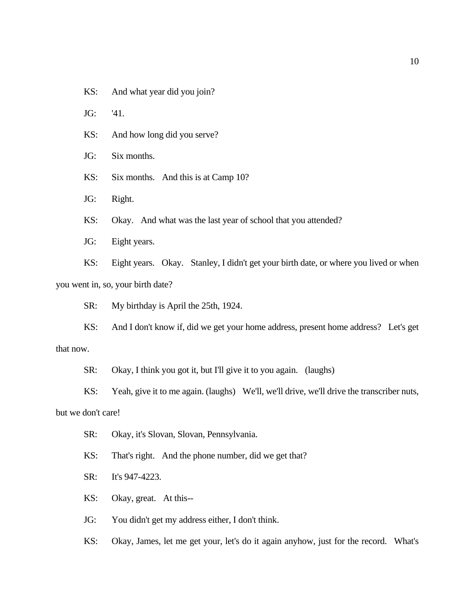KS: And what year did you join?

JG: '41.

KS: And how long did you serve?

JG: Six months.

KS: Six months. And this is at Camp 10?

JG: Right.

KS: Okay. And what was the last year of school that you attended?

JG: Eight years.

KS: Eight years. Okay. Stanley, I didn't get your birth date, or where you lived or when you went in, so, your birth date?

SR: My birthday is April the 25th, 1924.

KS: And I don't know if, did we get your home address, present home address? Let's get that now.

SR: Okay, I think you got it, but I'll give it to you again. (laughs)

KS: Yeah, give it to me again. (laughs) We'll, we'll drive, we'll drive the transcriber nuts,

but we don't care!

- SR: Okay, it's Slovan, Slovan, Pennsylvania.
- KS: That's right. And the phone number, did we get that?
- SR: It's 947-4223.
- KS: Okay, great. At this--

JG: You didn't get my address either, I don't think.

KS: Okay, James, let me get your, let's do it again anyhow, just for the record. What's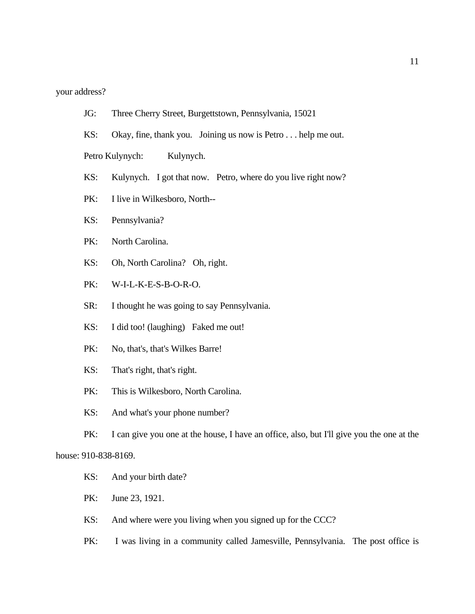### your address?

- JG: Three Cherry Street, Burgettstown, Pennsylvania, 15021
- KS: Okay, fine, thank you. Joining us now is Petro . . . help me out.

Petro Kulynych: Kulynych.

- KS: Kulynych. I got that now. Petro, where do you live right now?
- PK: I live in Wilkesboro, North--
- KS: Pennsylvania?
- PK: North Carolina.
- KS: Oh, North Carolina? Oh, right.
- PK: W-I-L-K-E-S-B-O-R-O.
- SR: I thought he was going to say Pennsylvania.
- KS: I did too! (laughing) Faked me out!
- PK: No, that's, that's Wilkes Barre!
- KS: That's right, that's right.
- PK: This is Wilkesboro, North Carolina.
- KS: And what's your phone number?

PK: I can give you one at the house, I have an office, also, but I'll give you the one at the house: 910-838-8169.

- KS: And your birth date?
- PK: June 23, 1921.
- KS: And where were you living when you signed up for the CCC?
- PK: I was living in a community called Jamesville, Pennsylvania. The post office is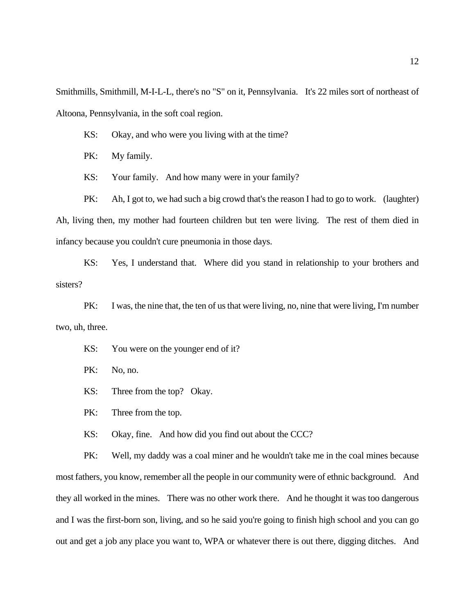Smithmills, Smithmill, M-I-L-L, there's no "S" on it, Pennsylvania. It's 22 miles sort of northeast of Altoona, Pennsylvania, in the soft coal region.

- KS: Okay, and who were you living with at the time?
- PK: My family.
- KS: Your family. And how many were in your family?

PK: Ah, I got to, we had such a big crowd that's the reason I had to go to work. (laughter) Ah, living then, my mother had fourteen children but ten were living. The rest of them died in infancy because you couldn't cure pneumonia in those days.

KS: Yes, I understand that. Where did you stand in relationship to your brothers and sisters?

PK: I was, the nine that, the ten of us that were living, no, nine that were living, I'm number two, uh, three.

- KS: You were on the younger end of it?
- PK: No, no.
- KS: Three from the top? Okay.
- PK: Three from the top.
- KS: Okay, fine. And how did you find out about the CCC?

PK: Well, my daddy was a coal miner and he wouldn't take me in the coal mines because most fathers, you know, remember all the people in our community were of ethnic background. And they all worked in the mines. There was no other work there. And he thought it was too dangerous and I was the first-born son, living, and so he said you're going to finish high school and you can go out and get a job any place you want to, WPA or whatever there is out there, digging ditches. And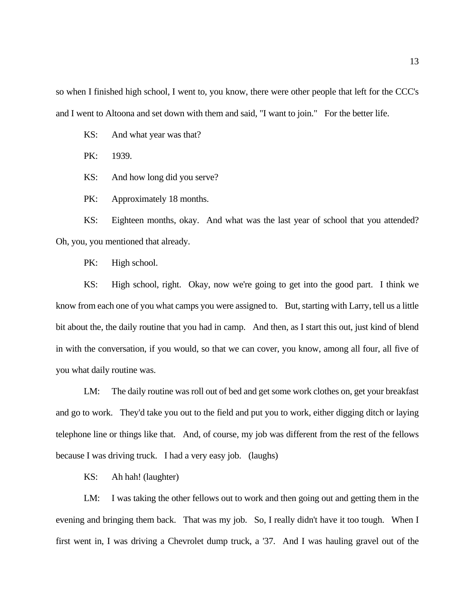so when I finished high school, I went to, you know, there were other people that left for the CCC's and I went to Altoona and set down with them and said, "I want to join." For the better life.

KS: And what year was that?

PK: 1939.

KS: And how long did you serve?

PK: Approximately 18 months.

KS: Eighteen months, okay. And what was the last year of school that you attended? Oh, you, you mentioned that already.

PK: High school.

KS: High school, right. Okay, now we're going to get into the good part. I think we know from each one of you what camps you were assigned to. But, starting with Larry, tell us a little bit about the, the daily routine that you had in camp. And then, as I start this out, just kind of blend in with the conversation, if you would, so that we can cover, you know, among all four, all five of you what daily routine was.

LM: The daily routine was roll out of bed and get some work clothes on, get your breakfast and go to work. They'd take you out to the field and put you to work, either digging ditch or laying telephone line or things like that. And, of course, my job was different from the rest of the fellows because I was driving truck. I had a very easy job. (laughs)

KS: Ah hah! (laughter)

LM: I was taking the other fellows out to work and then going out and getting them in the evening and bringing them back. That was my job. So, I really didn't have it too tough. When I first went in, I was driving a Chevrolet dump truck, a '37. And I was hauling gravel out of the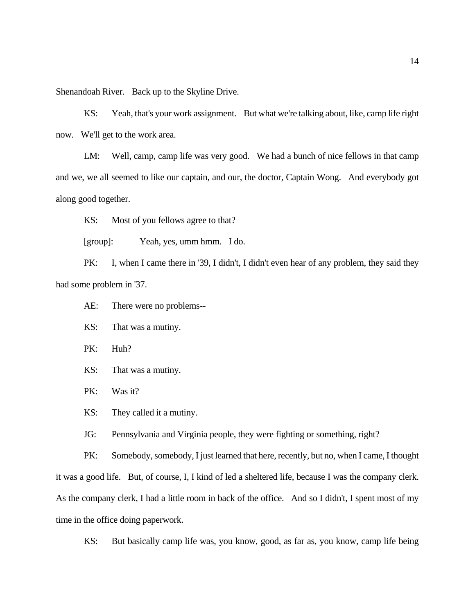Shenandoah River. Back up to the Skyline Drive.

KS: Yeah, that's your work assignment. But what we're talking about, like, camp life right now. We'll get to the work area.

LM: Well, camp, camp life was very good. We had a bunch of nice fellows in that camp and we, we all seemed to like our captain, and our, the doctor, Captain Wong. And everybody got along good together.

KS: Most of you fellows agree to that?

[group]: Yeah, yes, umm hmm. I do.

PK: I, when I came there in '39, I didn't, I didn't even hear of any problem, they said they had some problem in '37.

AE: There were no problems--

- KS: That was a mutiny.
- PK: Huh?
- KS: That was a mutiny.
- PK: Was it?

KS: They called it a mutiny.

JG: Pennsylvania and Virginia people, they were fighting or something, right?

PK: Somebody, somebody, I just learned that here, recently, but no, when I came, I thought it was a good life. But, of course, I, I kind of led a sheltered life, because I was the company clerk. As the company clerk, I had a little room in back of the office. And so I didn't, I spent most of my time in the office doing paperwork.

KS: But basically camp life was, you know, good, as far as, you know, camp life being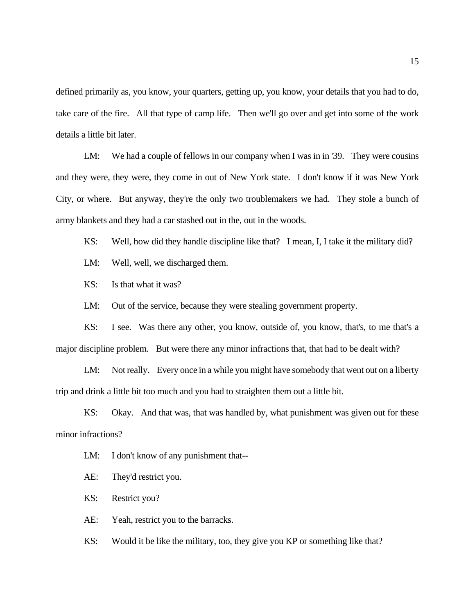defined primarily as, you know, your quarters, getting up, you know, your details that you had to do, take care of the fire. All that type of camp life. Then we'll go over and get into some of the work details a little bit later.

LM: We had a couple of fellows in our company when I was in in '39. They were cousins and they were, they were, they come in out of New York state. I don't know if it was New York City, or where. But anyway, they're the only two troublemakers we had. They stole a bunch of army blankets and they had a car stashed out in the, out in the woods.

KS: Well, how did they handle discipline like that? I mean, I, I take it the military did?

LM: Well, well, we discharged them.

KS: Is that what it was?

LM: Out of the service, because they were stealing government property.

KS: I see. Was there any other, you know, outside of, you know, that's, to me that's a major discipline problem. But were there any minor infractions that, that had to be dealt with?

LM: Not really. Every once in a while you might have somebody that went out on a liberty trip and drink a little bit too much and you had to straighten them out a little bit.

KS: Okay. And that was, that was handled by, what punishment was given out for these minor infractions?

LM: I don't know of any punishment that--

AE: They'd restrict you.

KS: Restrict you?

AE: Yeah, restrict you to the barracks.

KS: Would it be like the military, too, they give you KP or something like that?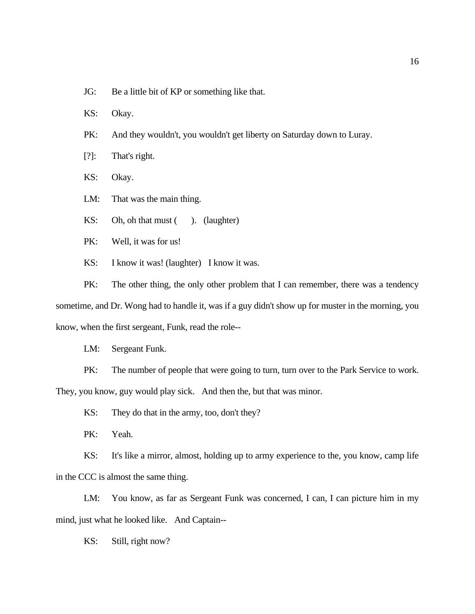- JG: Be a little bit of KP or something like that.
- KS: Okay.
- PK: And they wouldn't, you wouldn't get liberty on Saturday down to Luray.
- [?]: That's right.
- KS: Okay.
- LM: That was the main thing.
- KS: Oh, oh that must (). (laughter)
- PK: Well, it was for us!
- KS: I know it was! (laughter) I know it was.

PK: The other thing, the only other problem that I can remember, there was a tendency sometime, and Dr. Wong had to handle it, was if a guy didn't show up for muster in the morning, you know, when the first sergeant, Funk, read the role--

LM: Sergeant Funk.

PK: The number of people that were going to turn, turn over to the Park Service to work. They, you know, guy would play sick. And then the, but that was minor.

KS: They do that in the army, too, don't they?

PK: Yeah.

KS: It's like a mirror, almost, holding up to army experience to the, you know, camp life in the CCC is almost the same thing.

LM: You know, as far as Sergeant Funk was concerned, I can, I can picture him in my mind, just what he looked like. And Captain--

KS: Still, right now?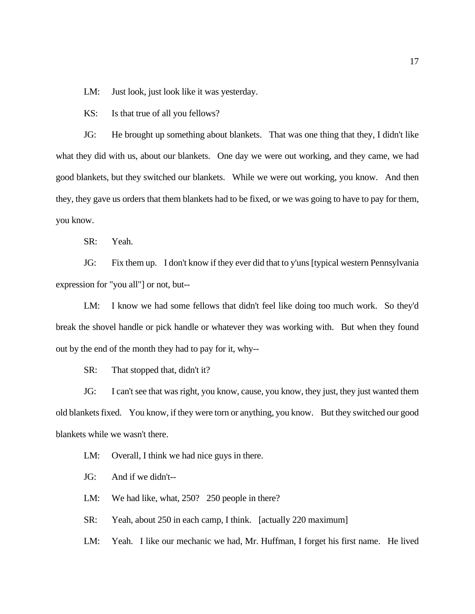LM: Just look, just look like it was yesterday.

KS: Is that true of all you fellows?

JG: He brought up something about blankets. That was one thing that they, I didn't like what they did with us, about our blankets. One day we were out working, and they came, we had good blankets, but they switched our blankets. While we were out working, you know. And then they, they gave us orders that them blankets had to be fixed, or we was going to have to pay for them, you know.

SR: Yeah.

JG: Fix them up. I don't know if they ever did that to y'uns [typical western Pennsylvania expression for "you all"] or not, but--

LM: I know we had some fellows that didn't feel like doing too much work. So they'd break the shovel handle or pick handle or whatever they was working with. But when they found out by the end of the month they had to pay for it, why--

SR: That stopped that, didn't it?

JG: I can't see that was right, you know, cause, you know, they just, they just wanted them old blankets fixed. You know, if they were torn or anything, you know. But they switched our good blankets while we wasn't there.

LM: Overall, I think we had nice guys in there.

JG: And if we didn't--

LM: We had like, what, 250? 250 people in there?

SR: Yeah, about 250 in each camp, I think. [actually 220 maximum]

LM: Yeah. I like our mechanic we had, Mr. Huffman, I forget his first name. He lived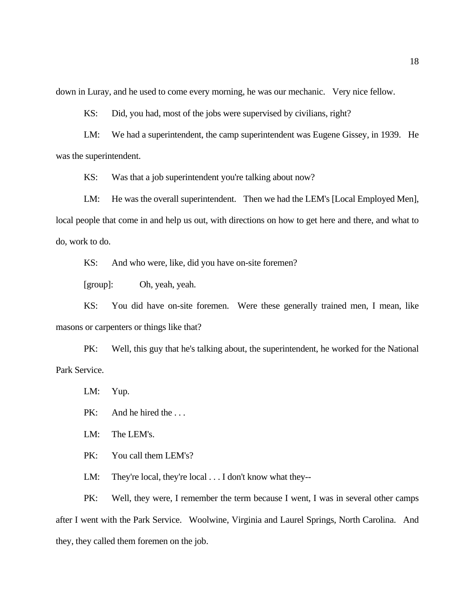down in Luray, and he used to come every morning, he was our mechanic. Very nice fellow.

KS: Did, you had, most of the jobs were supervised by civilians, right?

LM: We had a superintendent, the camp superintendent was Eugene Gissey, in 1939. He was the superintendent.

KS: Was that a job superintendent you're talking about now?

LM: He was the overall superintendent. Then we had the LEM's [Local Employed Men], local people that come in and help us out, with directions on how to get here and there, and what to do, work to do.

KS: And who were, like, did you have on-site foremen?

[group]: Oh, yeah, yeah.

KS: You did have on-site foremen. Were these generally trained men, I mean, like masons or carpenters or things like that?

PK: Well, this guy that he's talking about, the superintendent, he worked for the National Park Service.

LM: Yup.

PK: And he hired the ...

LM: The LEM's.

PK: You call them LEM's?

LM: They're local, they're local . . . I don't know what they--

PK: Well, they were, I remember the term because I went, I was in several other camps after I went with the Park Service. Woolwine, Virginia and Laurel Springs, North Carolina. And they, they called them foremen on the job.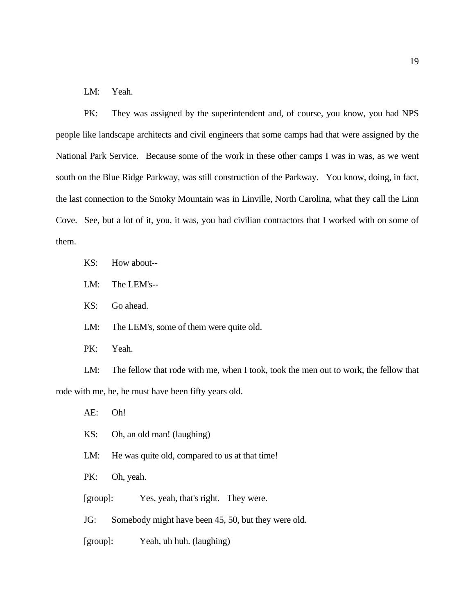LM: Yeah.

PK: They was assigned by the superintendent and, of course, you know, you had NPS people like landscape architects and civil engineers that some camps had that were assigned by the National Park Service. Because some of the work in these other camps I was in was, as we went south on the Blue Ridge Parkway, was still construction of the Parkway. You know, doing, in fact, the last connection to the Smoky Mountain was in Linville, North Carolina, what they call the Linn Cove. See, but a lot of it, you, it was, you had civilian contractors that I worked with on some of them.

- KS: How about--
- LM: The LEM's--
- KS: Go ahead.
- LM: The LEM's, some of them were quite old.
- PK: Yeah.

LM: The fellow that rode with me, when I took, took the men out to work, the fellow that rode with me, he, he must have been fifty years old.

AE: Oh!

- KS: Oh, an old man! (laughing)
- LM: He was quite old, compared to us at that time!

PK: Oh, yeah.

[group]: Yes, yeah, that's right. They were.

JG: Somebody might have been 45, 50, but they were old.

[group]: Yeah, uh huh. (laughing)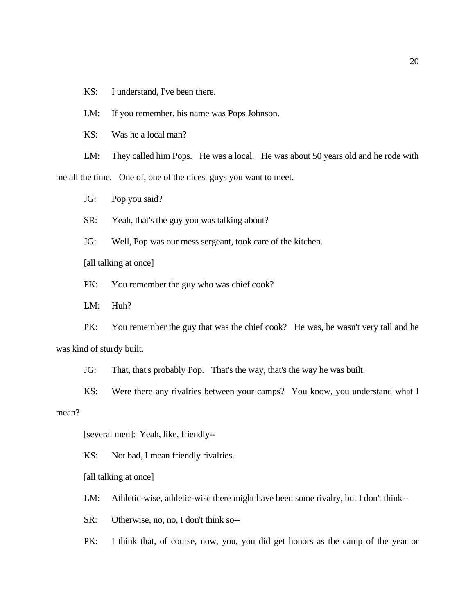KS: I understand, I've been there.

LM: If you remember, his name was Pops Johnson.

KS: Was he a local man?

LM: They called him Pops. He was a local. He was about 50 years old and he rode with me all the time. One of, one of the nicest guys you want to meet.

JG: Pop you said?

SR: Yeah, that's the guy you was talking about?

JG: Well, Pop was our mess sergeant, took care of the kitchen.

[all talking at once]

PK: You remember the guy who was chief cook?

LM: Huh?

PK: You remember the guy that was the chief cook? He was, he wasn't very tall and he was kind of sturdy built.

JG: That, that's probably Pop. That's the way, that's the way he was built.

KS: Were there any rivalries between your camps? You know, you understand what I mean?

[several men]: Yeah, like, friendly--

KS: Not bad, I mean friendly rivalries.

[all talking at once]

LM: Athletic-wise, athletic-wise there might have been some rivalry, but I don't think--

SR: Otherwise, no, no, I don't think so--

PK: I think that, of course, now, you, you did get honors as the camp of the year or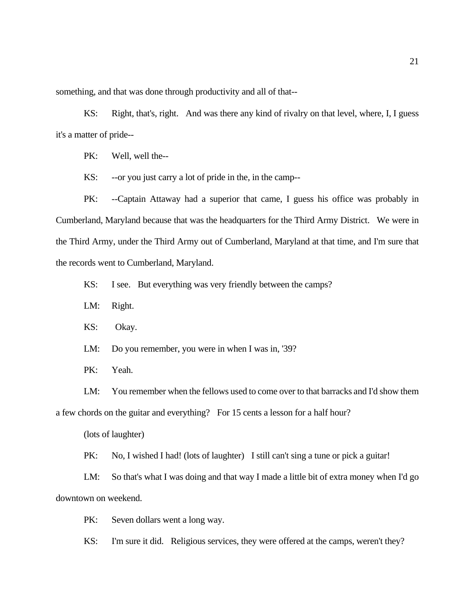something, and that was done through productivity and all of that--

KS: Right, that's, right. And was there any kind of rivalry on that level, where, I, I guess it's a matter of pride--

PK: Well, well the--

KS: --or you just carry a lot of pride in the, in the camp--

PK: --Captain Attaway had a superior that came, I guess his office was probably in Cumberland, Maryland because that was the headquarters for the Third Army District. We were in the Third Army, under the Third Army out of Cumberland, Maryland at that time, and I'm sure that the records went to Cumberland, Maryland.

KS: I see. But everything was very friendly between the camps?

LM: Right.

KS: Okay.

LM: Do you remember, you were in when I was in, '39?

PK: Yeah.

LM: You remember when the fellows used to come over to that barracks and I'd show them a few chords on the guitar and everything? For 15 cents a lesson for a half hour?

(lots of laughter)

PK: No, I wished I had! (lots of laughter) I still can't sing a tune or pick a guitar!

LM: So that's what I was doing and that way I made a little bit of extra money when I'd go downtown on weekend.

PK: Seven dollars went a long way.

KS: I'm sure it did. Religious services, they were offered at the camps, weren't they?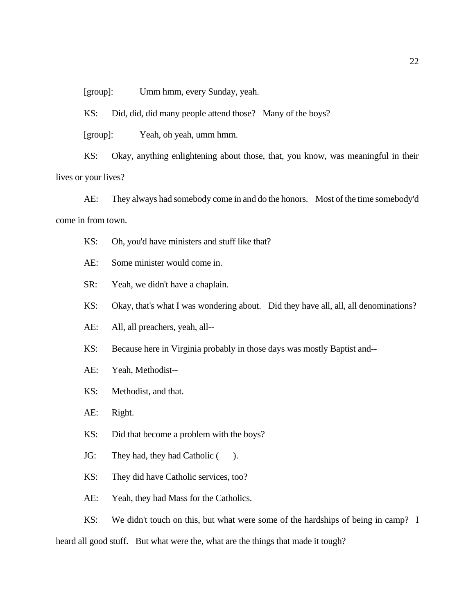[group]: Umm hmm, every Sunday, yeah.

KS: Did, did, did many people attend those? Many of the boys?

[group]: Yeah, oh yeah, umm hmm.

KS: Okay, anything enlightening about those, that, you know, was meaningful in their lives or your lives?

AE: They always had somebody come in and do the honors. Most of the time somebody'd come in from town.

- KS: Oh, you'd have ministers and stuff like that?
- AE: Some minister would come in.
- SR: Yeah, we didn't have a chaplain.
- KS: Okay, that's what I was wondering about. Did they have all, all, all denominations?
- AE: All, all preachers, yeah, all--
- KS: Because here in Virginia probably in those days was mostly Baptist and--
- AE: Yeah, Methodist--
- KS: Methodist, and that.
- AE: Right.
- KS: Did that become a problem with the boys?
- JG: They had, they had Catholic ().
- KS: They did have Catholic services, too?
- AE: Yeah, they had Mass for the Catholics.

KS: We didn't touch on this, but what were some of the hardships of being in camp? I heard all good stuff. But what were the, what are the things that made it tough?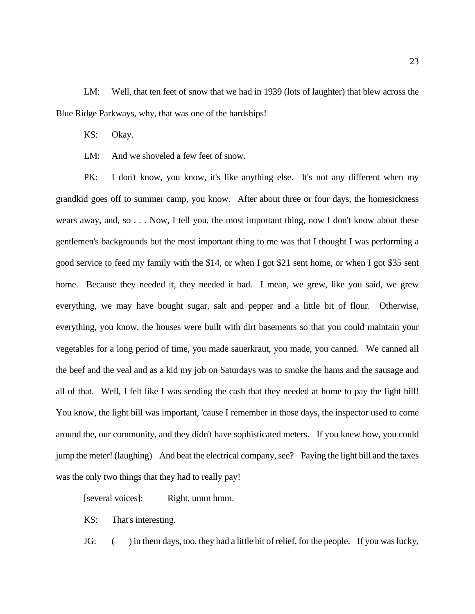LM: Well, that ten feet of snow that we had in 1939 (lots of laughter) that blew across the Blue Ridge Parkways, why, that was one of the hardships!

KS: Okay.

LM: And we shoveled a few feet of snow.

PK: I don't know, you know, it's like anything else. It's not any different when my grandkid goes off to summer camp, you know. After about three or four days, the homesickness wears away, and, so . . . Now, I tell you, the most important thing, now I don't know about these gentlemen's backgrounds but the most important thing to me was that I thought I was performing a good service to feed my family with the \$14, or when I got \$21 sent home, or when I got \$35 sent home. Because they needed it, they needed it bad. I mean, we grew, like you said, we grew everything, we may have bought sugar, salt and pepper and a little bit of flour. Otherwise, everything, you know, the houses were built with dirt basements so that you could maintain your vegetables for a long period of time, you made sauerkraut, you made, you canned. We canned all the beef and the veal and as a kid my job on Saturdays was to smoke the hams and the sausage and all of that. Well, I felt like I was sending the cash that they needed at home to pay the light bill! You know, the light bill was important, 'cause I remember in those days, the inspector used to come around the, our community, and they didn't have sophisticated meters. If you knew how, you could jump the meter! (laughing) And beat the electrical company, see? Paying the light bill and the taxes was the only two things that they had to really pay!

[several voices]: Right, umm hmm.

KS: That's interesting.

JG: () in them days, too, they had a little bit of relief, for the people. If you was lucky,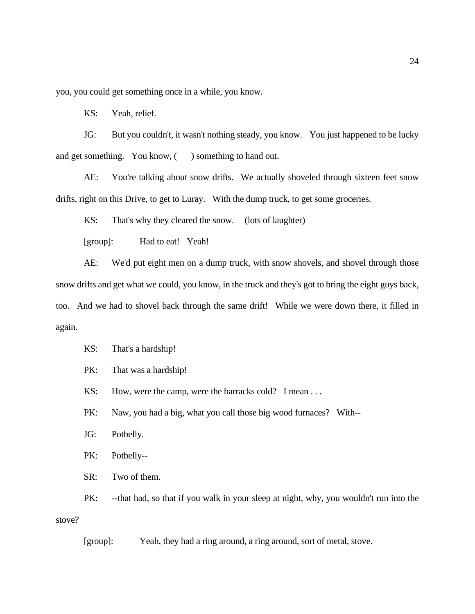you, you could get something once in a while, you know.

KS: Yeah, relief.

JG: But you couldn't, it wasn't nothing steady, you know. You just happened to be lucky and get something. You know, () something to hand out.

AE: You're talking about snow drifts. We actually shoveled through sixteen feet snow drifts, right on this Drive, to get to Luray. With the dump truck, to get some groceries.

KS: That's why they cleared the snow. (lots of laughter)

[group]: Had to eat! Yeah!

AE: We'd put eight men on a dump truck, with snow shovels, and shovel through those snow drifts and get what we could, you know, in the truck and they's got to bring the eight guys back, too. And we had to shovel back through the same drift! While we were down there, it filled in again.

KS: That's a hardship!

PK: That was a hardship!

KS: How, were the camp, were the barracks cold? I mean ...

PK: Naw, you had a big, what you call those big wood furnaces? With--

JG: Potbelly.

PK: Potbelly--

SR: Two of them.

PK: --that had, so that if you walk in your sleep at night, why, you wouldn't run into the stove?

[group]: Yeah, they had a ring around, a ring around, sort of metal, stove.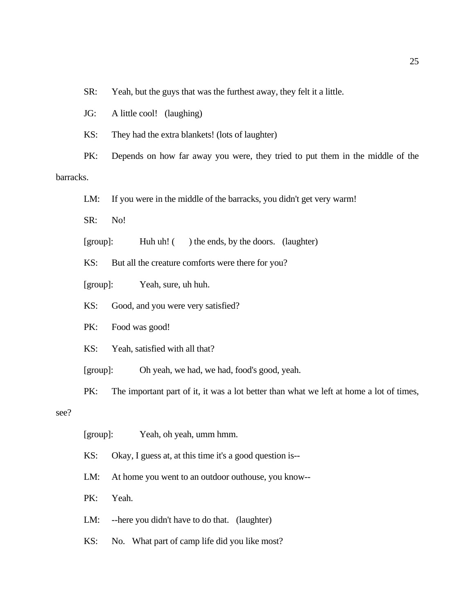SR: Yeah, but the guys that was the furthest away, they felt it a little.

JG: A little cool! (laughing)

KS: They had the extra blankets! (lots of laughter)

PK: Depends on how far away you were, they tried to put them in the middle of the barracks.

LM: If you were in the middle of the barracks, you didn't get very warm!

SR: No!

[group]: Huh uh! () the ends, by the doors. (laughter)

KS: But all the creature comforts were there for you?

[group]: Yeah, sure, uh huh.

KS: Good, and you were very satisfied?

PK: Food was good!

KS: Yeah, satisfied with all that?

[group]: Oh yeah, we had, we had, food's good, yeah.

PK: The important part of it, it was a lot better than what we left at home a lot of times,

see?

[group]: Yeah, oh yeah, umm hmm.

KS: Okay, I guess at, at this time it's a good question is--

LM: At home you went to an outdoor outhouse, you know--

PK: Yeah.

LM: --here you didn't have to do that. (laughter)

KS: No. What part of camp life did you like most?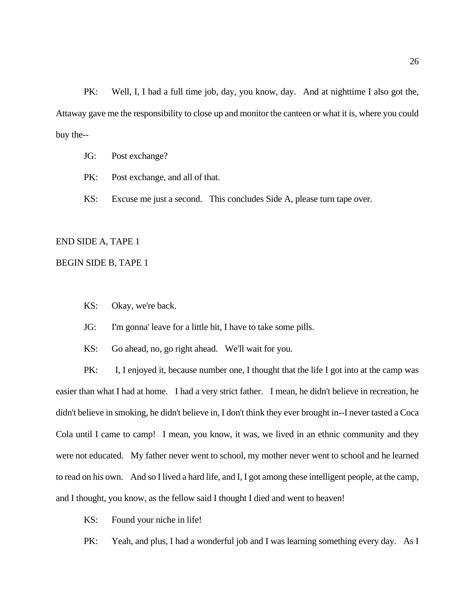PK: Well, I, I had a full time job, day, you know, day. And at nighttime I also got the, Attaway gave me the responsibility to close up and monitor the canteen or what it is, where you could buy the--

- JG: Post exchange?
- PK: Post exchange, and all of that.
- KS: Excuse me just a second. This concludes Side A, please turn tape over.

#### END SIDE A, TAPE 1

### BEGIN SIDE B, TAPE 1

- KS: Okay, we're back.
- JG: I'm gonna' leave for a little bit, I have to take some pills.
- KS: Go ahead, no, go right ahead. We'll wait for you.

PK: I, I enjoyed it, because number one, I thought that the life I got into at the camp was easier than what I had at home. I had a very strict father. I mean, he didn't believe in recreation, he didn't believe in smoking, he didn't believe in, I don't think they ever brought in--I never tasted a Coca Cola until I came to camp! I mean, you know, it was, we lived in an ethnic community and they were not educated. My father never went to school, my mother never went to school and he learned to read on his own. And so I lived a hard life, and I, I got among these intelligent people, at the camp, and I thought, you know, as the fellow said I thought I died and went to heaven!

- KS: Found your niche in life!
- PK: Yeah, and plus, I had a wonderful job and I was learning something every day. As I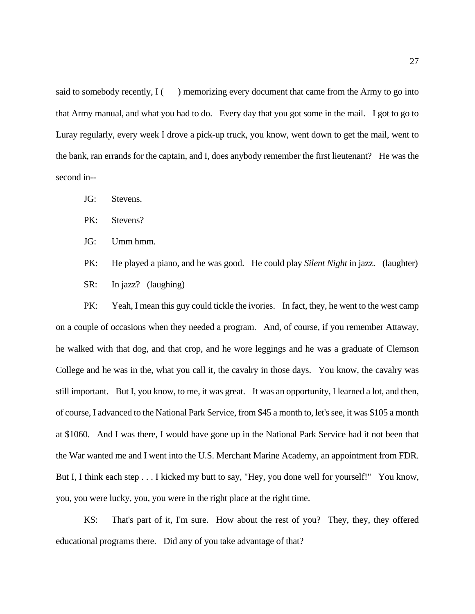said to somebody recently,  $I(\cdot)$  memorizing every document that came from the Army to go into that Army manual, and what you had to do. Every day that you got some in the mail. I got to go to Luray regularly, every week I drove a pick-up truck, you know, went down to get the mail, went to the bank, ran errands for the captain, and I, does anybody remember the first lieutenant? He was the second in--

- JG: Stevens.
- PK: Stevens?
- JG: Umm hmm.
- PK: He played a piano, and he was good. He could play *Silent Night* in jazz. (laughter) SR: In jazz? (laughing)

PK: Yeah, I mean this guy could tickle the ivories. In fact, they, he went to the west camp on a couple of occasions when they needed a program. And, of course, if you remember Attaway, he walked with that dog, and that crop, and he wore leggings and he was a graduate of Clemson College and he was in the, what you call it, the cavalry in those days. You know, the cavalry was still important. But I, you know, to me, it was great. It was an opportunity, I learned a lot, and then, of course, I advanced to the National Park Service, from \$45 a month to, let's see, it was \$105 a month at \$1060. And I was there, I would have gone up in the National Park Service had it not been that the War wanted me and I went into the U.S. Merchant Marine Academy, an appointment from FDR. But I, I think each step . . . I kicked my butt to say, "Hey, you done well for yourself!" You know, you, you were lucky, you, you were in the right place at the right time.

KS: That's part of it, I'm sure. How about the rest of you? They, they, they offered educational programs there. Did any of you take advantage of that?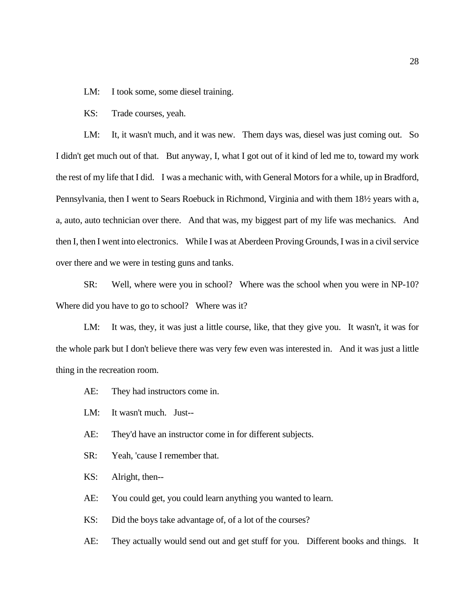LM: I took some, some diesel training.

KS: Trade courses, yeah.

LM: It, it wasn't much, and it was new. Them days was, diesel was just coming out. So I didn't get much out of that. But anyway, I, what I got out of it kind of led me to, toward my work the rest of my life that I did. I was a mechanic with, with General Motors for a while, up in Bradford, Pennsylvania, then I went to Sears Roebuck in Richmond, Virginia and with them 18½ years with a, a, auto, auto technician over there. And that was, my biggest part of my life was mechanics. And then I, then I went into electronics. While I was at Aberdeen Proving Grounds, I was in a civil service over there and we were in testing guns and tanks.

SR: Well, where were you in school? Where was the school when you were in NP-10? Where did you have to go to school? Where was it?

LM: It was, they, it was just a little course, like, that they give you. It wasn't, it was for the whole park but I don't believe there was very few even was interested in. And it was just a little thing in the recreation room.

- AE: They had instructors come in.
- LM: It wasn't much. Just--
- AE: They'd have an instructor come in for different subjects.
- SR: Yeah, 'cause I remember that.
- KS: Alright, then--
- AE: You could get, you could learn anything you wanted to learn.
- KS: Did the boys take advantage of, of a lot of the courses?
- AE: They actually would send out and get stuff for you. Different books and things. It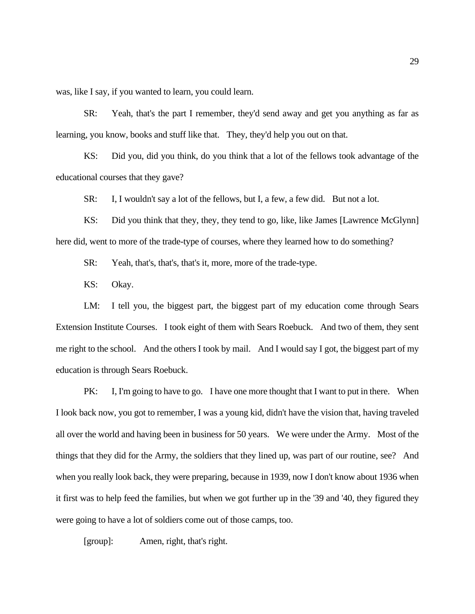was, like I say, if you wanted to learn, you could learn.

SR: Yeah, that's the part I remember, they'd send away and get you anything as far as learning, you know, books and stuff like that. They, they'd help you out on that.

KS: Did you, did you think, do you think that a lot of the fellows took advantage of the educational courses that they gave?

SR: I, I wouldn't say a lot of the fellows, but I, a few, a few did. But not a lot.

KS: Did you think that they, they, they tend to go, like, like James [Lawrence McGlynn] here did, went to more of the trade-type of courses, where they learned how to do something?

SR: Yeah, that's, that's, that's it, more, more of the trade-type.

KS: Okay.

LM: I tell you, the biggest part, the biggest part of my education come through Sears Extension Institute Courses. I took eight of them with Sears Roebuck. And two of them, they sent me right to the school. And the others I took by mail. And I would say I got, the biggest part of my education is through Sears Roebuck.

PK: I, I'm going to have to go. I have one more thought that I want to put in there. When I look back now, you got to remember, I was a young kid, didn't have the vision that, having traveled all over the world and having been in business for 50 years. We were under the Army. Most of the things that they did for the Army, the soldiers that they lined up, was part of our routine, see? And when you really look back, they were preparing, because in 1939, now I don't know about 1936 when it first was to help feed the families, but when we got further up in the '39 and '40, they figured they were going to have a lot of soldiers come out of those camps, too.

[group]: Amen, right, that's right.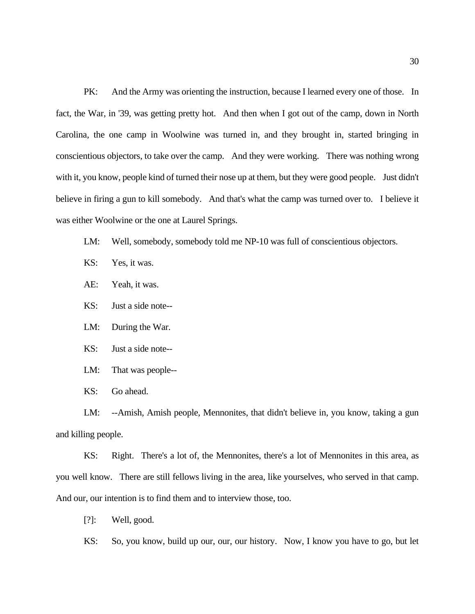PK: And the Army was orienting the instruction, because I learned every one of those. In fact, the War, in '39, was getting pretty hot. And then when I got out of the camp, down in North Carolina, the one camp in Woolwine was turned in, and they brought in, started bringing in conscientious objectors, to take over the camp. And they were working. There was nothing wrong with it, you know, people kind of turned their nose up at them, but they were good people. Just didn't believe in firing a gun to kill somebody. And that's what the camp was turned over to. I believe it was either Woolwine or the one at Laurel Springs.

- LM: Well, somebody, somebody told me NP-10 was full of conscientious objectors.
- KS: Yes, it was.
- AE: Yeah, it was.
- KS: Just a side note--
- LM: During the War.
- KS: Just a side note--
- LM: That was people--
- KS: Go ahead.

LM: --Amish, Amish people, Mennonites, that didn't believe in, you know, taking a gun and killing people.

KS: Right. There's a lot of, the Mennonites, there's a lot of Mennonites in this area, as you well know. There are still fellows living in the area, like yourselves, who served in that camp. And our, our intention is to find them and to interview those, too.

[?]: Well, good.

KS: So, you know, build up our, our, our history. Now, I know you have to go, but let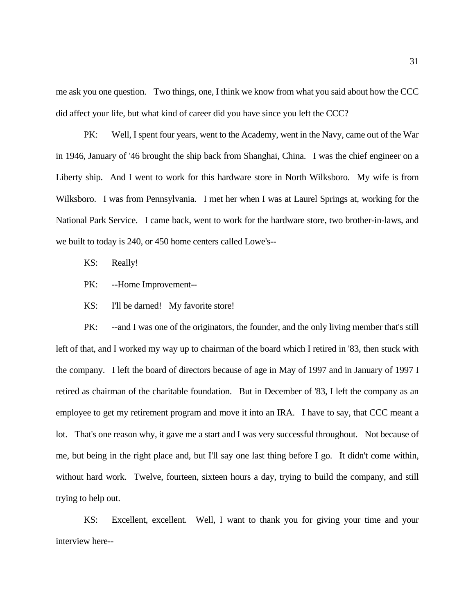me ask you one question. Two things, one, I think we know from what you said about how the CCC did affect your life, but what kind of career did you have since you left the CCC?

PK: Well, I spent four years, went to the Academy, went in the Navy, came out of the War in 1946, January of '46 brought the ship back from Shanghai, China. I was the chief engineer on a Liberty ship. And I went to work for this hardware store in North Wilksboro. My wife is from Wilksboro. I was from Pennsylvania. I met her when I was at Laurel Springs at, working for the National Park Service. I came back, went to work for the hardware store, two brother-in-laws, and we built to today is 240, or 450 home centers called Lowe's--

KS: Really!

PK: --Home Improvement--

KS: I'll be darned! My favorite store!

PK: --and I was one of the originators, the founder, and the only living member that's still left of that, and I worked my way up to chairman of the board which I retired in '83, then stuck with the company. I left the board of directors because of age in May of 1997 and in January of 1997 I retired as chairman of the charitable foundation. But in December of '83, I left the company as an employee to get my retirement program and move it into an IRA. I have to say, that CCC meant a lot. That's one reason why, it gave me a start and I was very successful throughout. Not because of me, but being in the right place and, but I'll say one last thing before I go. It didn't come within, without hard work. Twelve, fourteen, sixteen hours a day, trying to build the company, and still trying to help out.

KS: Excellent, excellent. Well, I want to thank you for giving your time and your interview here--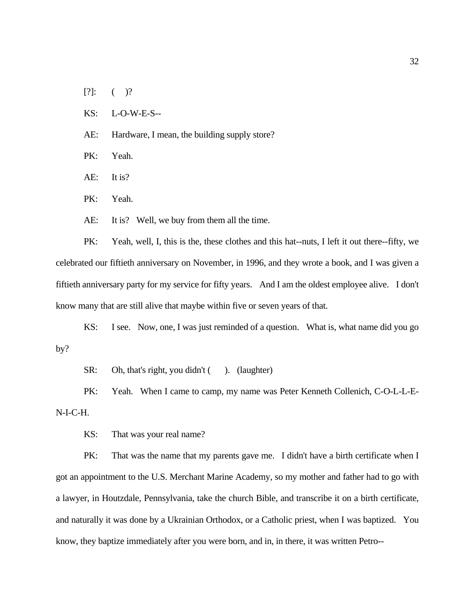- $[?]:$  ( )?
- KS: L-O-W-E-S--
- AE: Hardware, I mean, the building supply store?
- PK: Yeah.
- AE: It is?
- PK: Yeah.
- AE: It is? Well, we buy from them all the time.

PK: Yeah, well, I, this is the, these clothes and this hat--nuts, I left it out there--fifty, we celebrated our fiftieth anniversary on November, in 1996, and they wrote a book, and I was given a fiftieth anniversary party for my service for fifty years. And I am the oldest employee alive. I don't know many that are still alive that maybe within five or seven years of that.

KS: I see. Now, one, I was just reminded of a question. What is, what name did you go by?

SR: Oh, that's right, you didn't (). (laughter)

PK: Yeah. When I came to camp, my name was Peter Kenneth Collenich, C-O-L-L-E-N-I-C-H.

KS: That was your real name?

PK: That was the name that my parents gave me. I didn't have a birth certificate when I got an appointment to the U.S. Merchant Marine Academy, so my mother and father had to go with a lawyer, in Houtzdale, Pennsylvania, take the church Bible, and transcribe it on a birth certificate, and naturally it was done by a Ukrainian Orthodox, or a Catholic priest, when I was baptized. You know, they baptize immediately after you were born, and in, in there, it was written Petro--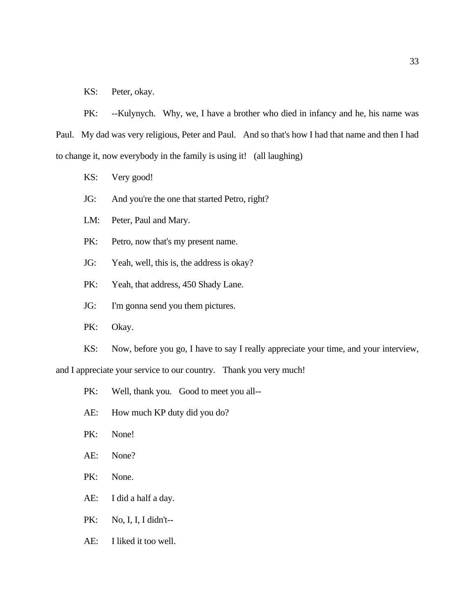KS: Peter, okay.

PK: --Kulynych. Why, we, I have a brother who died in infancy and he, his name was Paul. My dad was very religious, Peter and Paul. And so that's how I had that name and then I had to change it, now everybody in the family is using it! (all laughing)

- KS: Very good!
- JG: And you're the one that started Petro, right?
- LM: Peter, Paul and Mary.
- PK: Petro, now that's my present name.
- JG: Yeah, well, this is, the address is okay?
- PK: Yeah, that address, 450 Shady Lane.
- JG: I'm gonna send you them pictures.
- PK: Okay.
- KS: Now, before you go, I have to say I really appreciate your time, and your interview,

and I appreciate your service to our country. Thank you very much!

- PK: Well, thank you. Good to meet you all--
- AE: How much KP duty did you do?
- PK: None!
- AE: None?
- PK: None.
- AE: I did a half a day.
- PK: No, I, I, I didn't--
- AE: I liked it too well.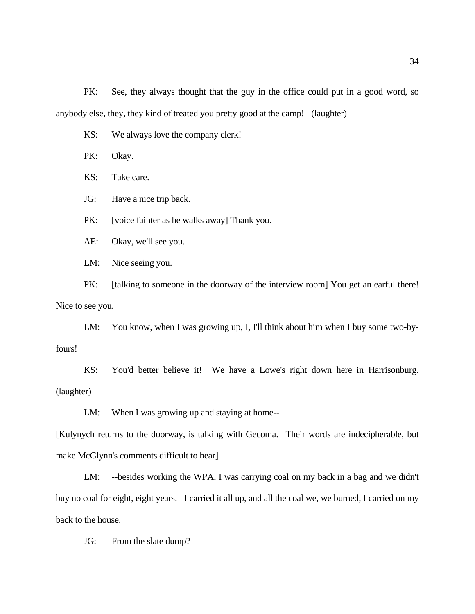PK: See, they always thought that the guy in the office could put in a good word, so anybody else, they, they kind of treated you pretty good at the camp! (laughter)

KS: We always love the company clerk!

PK: Okay.

KS: Take care.

JG: Have a nice trip back.

PK: [voice fainter as he walks away] Thank you.

AE: Okay, we'll see you.

LM: Nice seeing you.

PK: [talking to someone in the doorway of the interview room] You get an earful there! Nice to see you.

LM: You know, when I was growing up, I, I'll think about him when I buy some two-byfours!

KS: You'd better believe it! We have a Lowe's right down here in Harrisonburg. (laughter)

LM: When I was growing up and staying at home--

[Kulynych returns to the doorway, is talking with Gecoma. Their words are indecipherable, but make McGlynn's comments difficult to hear]

LM: --besides working the WPA, I was carrying coal on my back in a bag and we didn't buy no coal for eight, eight years. I carried it all up, and all the coal we, we burned, I carried on my back to the house.

JG: From the slate dump?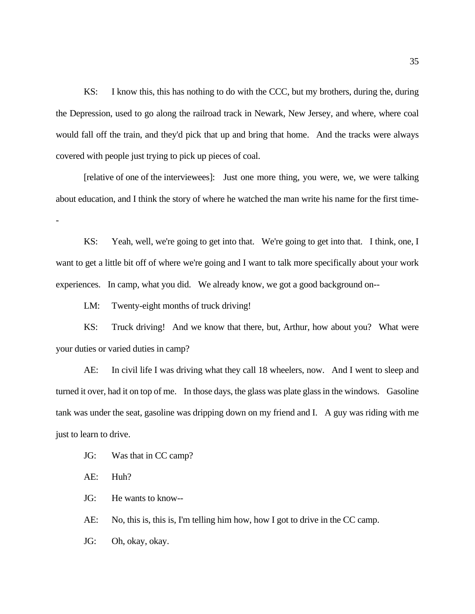KS: I know this, this has nothing to do with the CCC, but my brothers, during the, during the Depression, used to go along the railroad track in Newark, New Jersey, and where, where coal would fall off the train, and they'd pick that up and bring that home. And the tracks were always covered with people just trying to pick up pieces of coal.

[relative of one of the interviewees]: Just one more thing, you were, we, we were talking about education, and I think the story of where he watched the man write his name for the first time-

KS: Yeah, well, we're going to get into that. We're going to get into that. I think, one, I want to get a little bit off of where we're going and I want to talk more specifically about your work experiences. In camp, what you did. We already know, we got a good background on--

LM: Twenty-eight months of truck driving!

KS: Truck driving! And we know that there, but, Arthur, how about you? What were your duties or varied duties in camp?

AE: In civil life I was driving what they call 18 wheelers, now. And I went to sleep and turned it over, had it on top of me. In those days, the glass was plate glass in the windows. Gasoline tank was under the seat, gasoline was dripping down on my friend and I. A guy was riding with me just to learn to drive.

JG: Was that in CC camp?

AE: Huh?

-

JG: He wants to know--

AE: No, this is, this is, I'm telling him how, how I got to drive in the CC camp.

JG: Oh, okay, okay.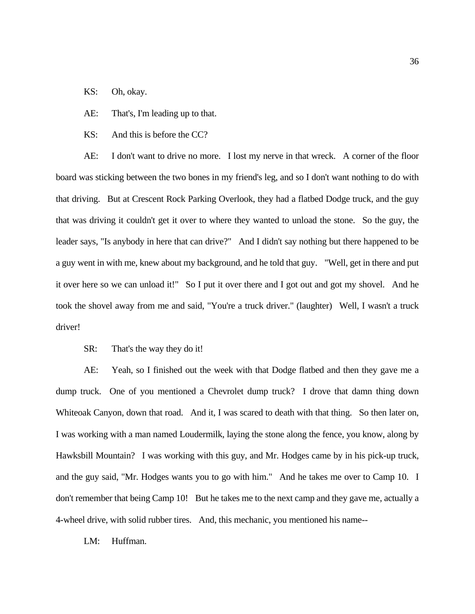- KS: Oh, okay.
- AE: That's, I'm leading up to that.
- KS: And this is before the CC?

AE: I don't want to drive no more. I lost my nerve in that wreck. A corner of the floor board was sticking between the two bones in my friend's leg, and so I don't want nothing to do with that driving. But at Crescent Rock Parking Overlook, they had a flatbed Dodge truck, and the guy that was driving it couldn't get it over to where they wanted to unload the stone. So the guy, the leader says, "Is anybody in here that can drive?" And I didn't say nothing but there happened to be a guy went in with me, knew about my background, and he told that guy. "Well, get in there and put it over here so we can unload it!" So I put it over there and I got out and got my shovel. And he took the shovel away from me and said, "You're a truck driver." (laughter) Well, I wasn't a truck driver!

SR: That's the way they do it!

AE: Yeah, so I finished out the week with that Dodge flatbed and then they gave me a dump truck. One of you mentioned a Chevrolet dump truck? I drove that damn thing down Whiteoak Canyon, down that road. And it, I was scared to death with that thing. So then later on, I was working with a man named Loudermilk, laying the stone along the fence, you know, along by Hawksbill Mountain? I was working with this guy, and Mr. Hodges came by in his pick-up truck, and the guy said, "Mr. Hodges wants you to go with him." And he takes me over to Camp 10. I don't remember that being Camp 10! But he takes me to the next camp and they gave me, actually a 4-wheel drive, with solid rubber tires. And, this mechanic, you mentioned his name--

LM: Huffman.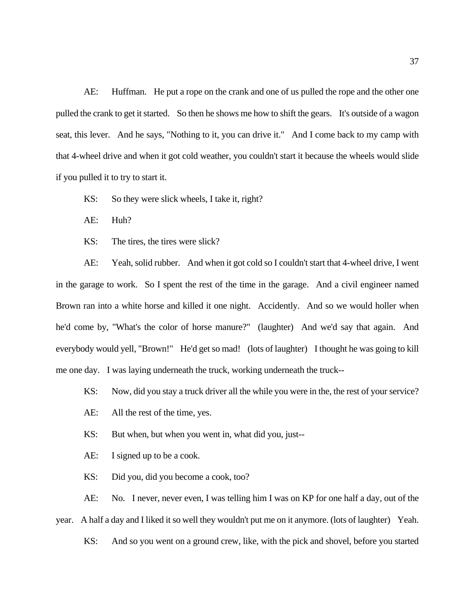AE: Huffman. He put a rope on the crank and one of us pulled the rope and the other one pulled the crank to get it started. So then he shows me how to shift the gears. It's outside of a wagon seat, this lever. And he says, "Nothing to it, you can drive it." And I come back to my camp with that 4-wheel drive and when it got cold weather, you couldn't start it because the wheels would slide if you pulled it to try to start it.

KS: So they were slick wheels, I take it, right?

AE: Huh?

KS: The tires, the tires were slick?

AE: Yeah, solid rubber. And when it got cold so I couldn't start that 4-wheel drive, I went in the garage to work. So I spent the rest of the time in the garage. And a civil engineer named Brown ran into a white horse and killed it one night. Accidently. And so we would holler when he'd come by, "What's the color of horse manure?" (laughter) And we'd say that again. And everybody would yell, "Brown!" He'd get so mad! (lots of laughter) I thought he was going to kill me one day. I was laying underneath the truck, working underneath the truck--

KS: Now, did you stay a truck driver all the while you were in the, the rest of your service?

AE: All the rest of the time, yes.

KS: But when, but when you went in, what did you, just--

AE: I signed up to be a cook.

KS: Did you, did you become a cook, too?

AE: No. I never, never even, I was telling him I was on KP for one half a day, out of the year. A half a day and I liked it so well they wouldn't put me on it anymore. (lots of laughter) Yeah.

KS: And so you went on a ground crew, like, with the pick and shovel, before you started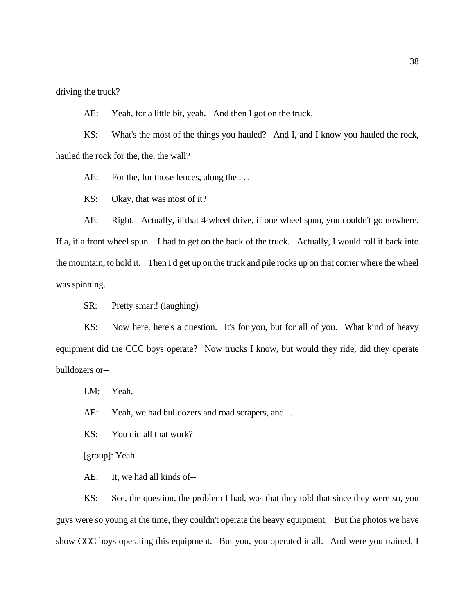driving the truck?

AE: Yeah, for a little bit, yeah. And then I got on the truck.

KS: What's the most of the things you hauled? And I, and I know you hauled the rock, hauled the rock for the, the, the wall?

AE: For the, for those fences, along the ...

KS: Okay, that was most of it?

AE: Right. Actually, if that 4-wheel drive, if one wheel spun, you couldn't go nowhere. If a, if a front wheel spun. I had to get on the back of the truck. Actually, I would roll it back into the mountain, to hold it. Then I'd get up on the truck and pile rocks up on that corner where the wheel was spinning.

SR: Pretty smart! (laughing)

KS: Now here, here's a question. It's for you, but for all of you. What kind of heavy equipment did the CCC boys operate? Now trucks I know, but would they ride, did they operate bulldozers or--

LM: Yeah.

AE: Yeah, we had bulldozers and road scrapers, and ...

KS: You did all that work?

[group]: Yeah.

AE: It, we had all kinds of--

KS: See, the question, the problem I had, was that they told that since they were so, you guys were so young at the time, they couldn't operate the heavy equipment. But the photos we have show CCC boys operating this equipment. But you, you operated it all. And were you trained, I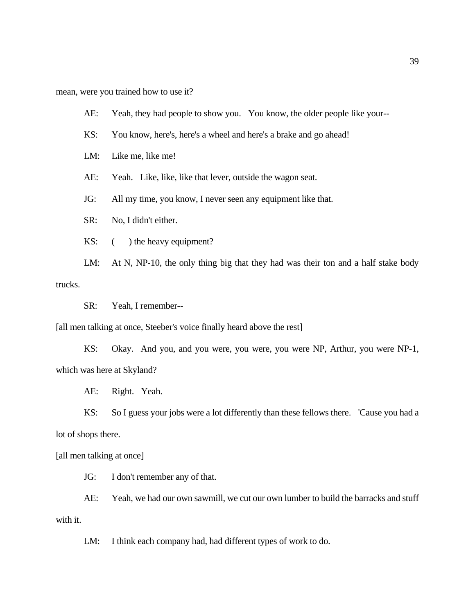mean, were you trained how to use it?

AE: Yeah, they had people to show you. You know, the older people like your--

KS: You know, here's, here's a wheel and here's a brake and go ahead!

LM: Like me, like me!

AE: Yeah. Like, like, like that lever, outside the wagon seat.

JG: All my time, you know, I never seen any equipment like that.

SR: No, I didn't either.

KS:  $($  ) the heavy equipment?

LM: At N, NP-10, the only thing big that they had was their ton and a half stake body trucks.

SR: Yeah, I remember--

[all men talking at once, Steeber's voice finally heard above the rest]

KS: Okay. And you, and you were, you were, you were NP, Arthur, you were NP-1, which was here at Skyland?

AE: Right. Yeah.

KS: So I guess your jobs were a lot differently than these fellows there. 'Cause you had a lot of shops there.

[all men talking at once]

JG: I don't remember any of that.

AE: Yeah, we had our own sawmill, we cut our own lumber to build the barracks and stuff with it.

LM: I think each company had, had different types of work to do.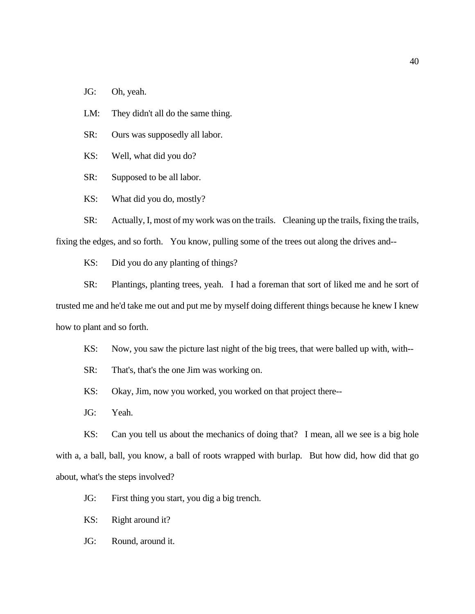JG: Oh, yeah.

LM: They didn't all do the same thing.

SR: Ours was supposedly all labor.

KS: Well, what did you do?

SR: Supposed to be all labor.

KS: What did you do, mostly?

SR: Actually, I, most of my work was on the trails. Cleaning up the trails, fixing the trails, fixing the edges, and so forth. You know, pulling some of the trees out along the drives and--

KS: Did you do any planting of things?

SR: Plantings, planting trees, yeah. I had a foreman that sort of liked me and he sort of trusted me and he'd take me out and put me by myself doing different things because he knew I knew how to plant and so forth.

KS: Now, you saw the picture last night of the big trees, that were balled up with, with--

SR: That's, that's the one Jim was working on.

KS: Okay, Jim, now you worked, you worked on that project there--

JG: Yeah.

KS: Can you tell us about the mechanics of doing that? I mean, all we see is a big hole with a, a ball, ball, you know, a ball of roots wrapped with burlap. But how did, how did that go about, what's the steps involved?

JG: First thing you start, you dig a big trench.

KS: Right around it?

JG: Round, around it.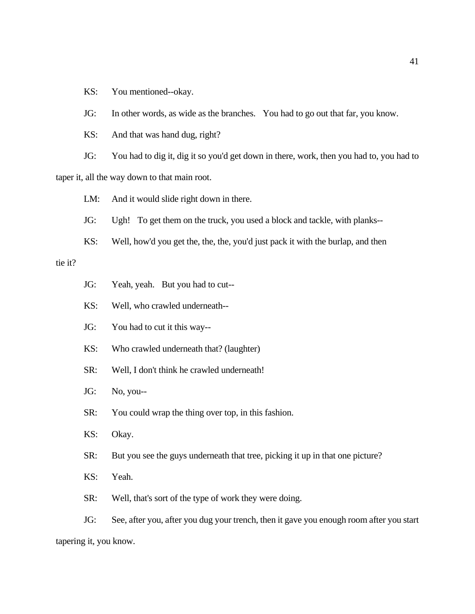KS: You mentioned--okay.

JG: In other words, as wide as the branches. You had to go out that far, you know.

KS: And that was hand dug, right?

JG: You had to dig it, dig it so you'd get down in there, work, then you had to, you had to taper it, all the way down to that main root.

LM: And it would slide right down in there.

JG: Ugh! To get them on the truck, you used a block and tackle, with planks--

KS: Well, how'd you get the, the, the, you'd just pack it with the burlap, and then

tie it?

- JG: Yeah, yeah. But you had to cut--
- KS: Well, who crawled underneath--
- JG: You had to cut it this way--
- KS: Who crawled underneath that? (laughter)
- SR: Well, I don't think he crawled underneath!
- JG: No, you--
- SR: You could wrap the thing over top, in this fashion.
- KS: Okay.
- SR: But you see the guys underneath that tree, picking it up in that one picture?
- KS: Yeah.
- SR: Well, that's sort of the type of work they were doing.

JG: See, after you, after you dug your trench, then it gave you enough room after you start tapering it, you know.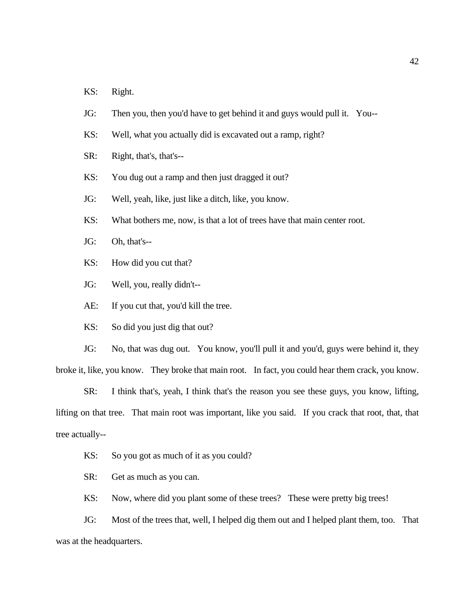- KS: Right.
- JG: Then you, then you'd have to get behind it and guys would pull it. You--
- KS: Well, what you actually did is excavated out a ramp, right?
- SR: Right, that's, that's--
- KS: You dug out a ramp and then just dragged it out?
- JG: Well, yeah, like, just like a ditch, like, you know.
- KS: What bothers me, now, is that a lot of trees have that main center root.
- JG: Oh, that's--
- KS: How did you cut that?
- JG: Well, you, really didn't--
- AE: If you cut that, you'd kill the tree.
- KS: So did you just dig that out?

JG: No, that was dug out. You know, you'll pull it and you'd, guys were behind it, they broke it, like, you know. They broke that main root. In fact, you could hear them crack, you know.

SR: I think that's, yeah, I think that's the reason you see these guys, you know, lifting, lifting on that tree. That main root was important, like you said. If you crack that root, that, that tree actually--

- KS: So you got as much of it as you could?
- SR: Get as much as you can.
- KS: Now, where did you plant some of these trees? These were pretty big trees!

JG: Most of the trees that, well, I helped dig them out and I helped plant them, too. That was at the headquarters.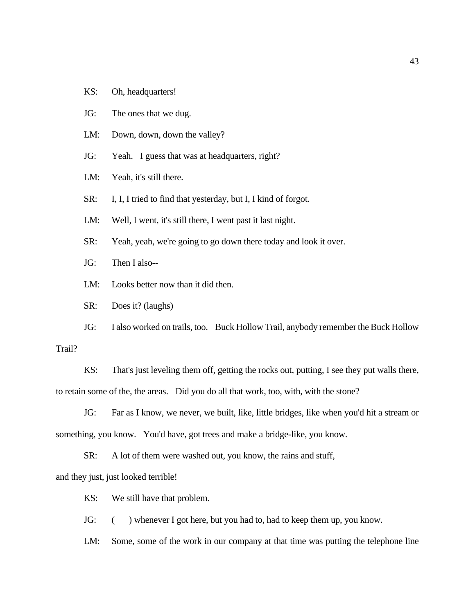- KS: Oh, headquarters!
- JG: The ones that we dug.
- LM: Down, down, down the valley?
- JG: Yeah. I guess that was at headquarters, right?
- LM: Yeah, it's still there.
- SR: I, I, I tried to find that yesterday, but I, I kind of forgot.
- LM: Well, I went, it's still there, I went past it last night.
- SR: Yeah, yeah, we're going to go down there today and look it over.
- JG: Then I also--
- LM: Looks better now than it did then.
- SR: Does it? (laughs)
- JG: I also worked on trails, too. Buck Hollow Trail, anybody remember the Buck Hollow

### Trail?

KS: That's just leveling them off, getting the rocks out, putting, I see they put walls there, to retain some of the, the areas. Did you do all that work, too, with, with the stone?

JG: Far as I know, we never, we built, like, little bridges, like when you'd hit a stream or something, you know. You'd have, got trees and make a bridge-like, you know.

SR: A lot of them were washed out, you know, the rains and stuff, and they just, just looked terrible!

KS: We still have that problem.

JG: () whenever I got here, but you had to, had to keep them up, you know.

LM: Some, some of the work in our company at that time was putting the telephone line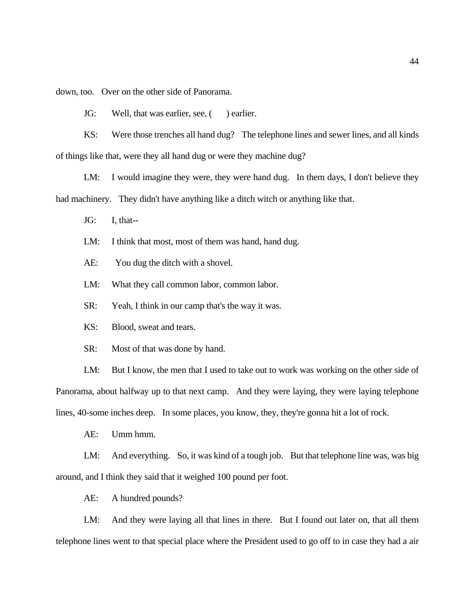down, too. Over on the other side of Panorama.

JG: Well, that was earlier, see, () earlier.

KS: Were those trenches all hand dug? The telephone lines and sewer lines, and all kinds of things like that, were they all hand dug or were they machine dug?

LM: I would imagine they were, they were hand dug. In them days, I don't believe they had machinery. They didn't have anything like a ditch witch or anything like that.

JG: I, that--

LM: I think that most, most of them was hand, hand dug.

AE: You dug the ditch with a shovel.

LM: What they call common labor, common labor.

SR: Yeah, I think in our camp that's the way it was.

KS: Blood, sweat and tears.

SR: Most of that was done by hand.

LM: But I know, the men that I used to take out to work was working on the other side of Panorama, about halfway up to that next camp. And they were laying, they were laying telephone lines, 40-some inches deep. In some places, you know, they, they're gonna hit a lot of rock.

AE: Umm hmm.

LM: And everything. So, it was kind of a tough job. But that telephone line was, was big around, and I think they said that it weighed 100 pound per foot.

AE: A hundred pounds?

LM: And they were laying all that lines in there. But I found out later on, that all them telephone lines went to that special place where the President used to go off to in case they had a air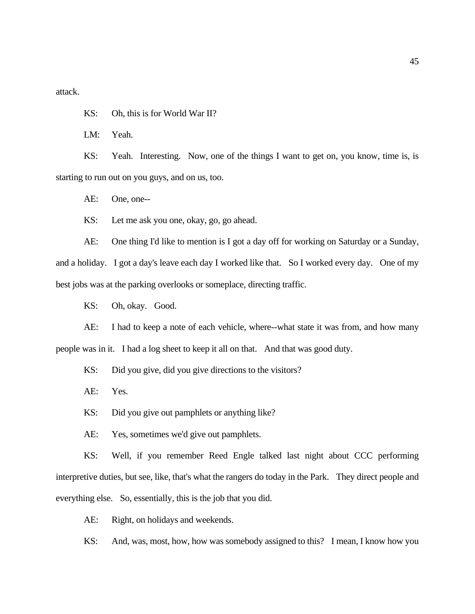attack.

KS: Oh, this is for World War II?

LM: Yeah.

KS: Yeah. Interesting. Now, one of the things I want to get on, you know, time is, is starting to run out on you guys, and on us, too.

AE: One, one--

KS: Let me ask you one, okay, go, go ahead.

AE: One thing I'd like to mention is I got a day off for working on Saturday or a Sunday, and a holiday. I got a day's leave each day I worked like that. So I worked every day. One of my best jobs was at the parking overlooks or someplace, directing traffic.

KS: Oh, okay. Good.

AE: I had to keep a note of each vehicle, where--what state it was from, and how many people was in it. I had a log sheet to keep it all on that. And that was good duty.

KS: Did you give, did you give directions to the visitors?

AE: Yes.

KS: Did you give out pamphlets or anything like?

AE: Yes, sometimes we'd give out pamphlets.

KS: Well, if you remember Reed Engle talked last night about CCC performing interpretive duties, but see, like, that's what the rangers do today in the Park. They direct people and everything else. So, essentially, this is the job that you did.

AE: Right, on holidays and weekends.

KS: And, was, most, how, how was somebody assigned to this? I mean, I know how you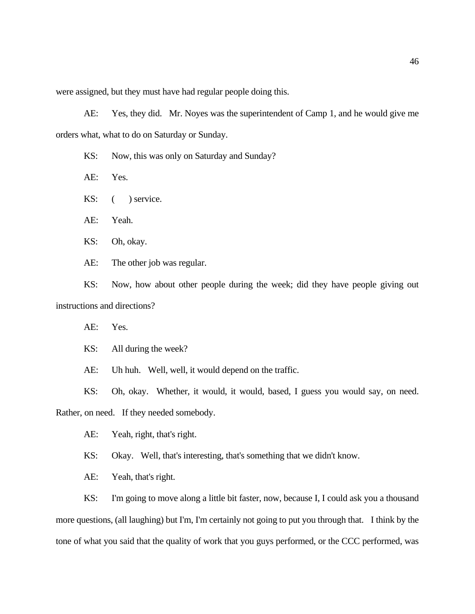were assigned, but they must have had regular people doing this.

AE: Yes, they did. Mr. Noyes was the superintendent of Camp 1, and he would give me orders what, what to do on Saturday or Sunday.

KS: Now, this was only on Saturday and Sunday?

AE: Yes.

KS:  $($  ) service.

AE: Yeah.

KS: Oh, okay.

AE: The other job was regular.

KS: Now, how about other people during the week; did they have people giving out instructions and directions?

AE: Yes.

KS: All during the week?

AE: Uh huh. Well, well, it would depend on the traffic.

KS: Oh, okay. Whether, it would, it would, based, I guess you would say, on need.

Rather, on need. If they needed somebody.

AE: Yeah, right, that's right.

KS: Okay. Well, that's interesting, that's something that we didn't know.

AE: Yeah, that's right.

KS: I'm going to move along a little bit faster, now, because I, I could ask you a thousand more questions, (all laughing) but I'm, I'm certainly not going to put you through that. I think by the tone of what you said that the quality of work that you guys performed, or the CCC performed, was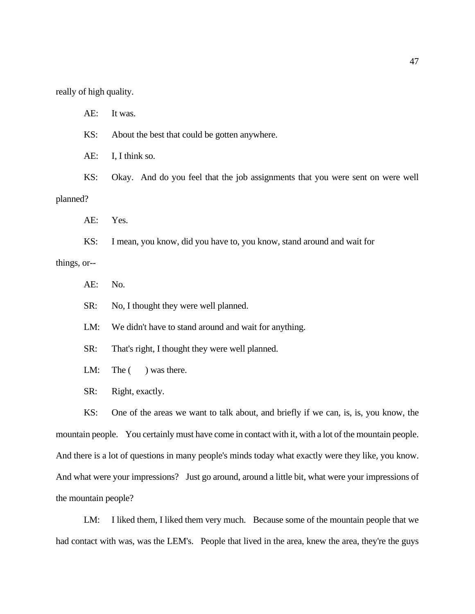really of high quality.

AE: It was. KS: About the best that could be gotten anywhere. AE: I, I think so. KS: Okay. And do you feel that the job assignments that you were sent on were well planned? AE: Yes. KS: I mean, you know, did you have to, you know, stand around and wait for things, or--

AE: No.

SR: No, I thought they were well planned.

LM: We didn't have to stand around and wait for anything.

SR: That's right, I thought they were well planned.

LM: The  $($  ) was there.

SR: Right, exactly.

KS: One of the areas we want to talk about, and briefly if we can, is, is, you know, the mountain people. You certainly must have come in contact with it, with a lot of the mountain people. And there is a lot of questions in many people's minds today what exactly were they like, you know. And what were your impressions? Just go around, around a little bit, what were your impressions of the mountain people?

LM: I liked them, I liked them very much. Because some of the mountain people that we had contact with was, was the LEM's. People that lived in the area, knew the area, they're the guys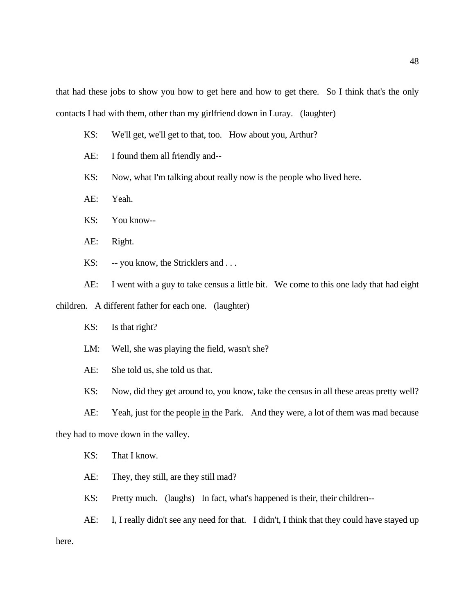that had these jobs to show you how to get here and how to get there. So I think that's the only contacts I had with them, other than my girlfriend down in Luray. (laughter)

- KS: We'll get, we'll get to that, too. How about you, Arthur?
- AE: I found them all friendly and--
- KS: Now, what I'm talking about really now is the people who lived here.
- AE: Yeah.
- KS: You know--
- AE: Right.
- KS: -- you know, the Stricklers and ...

AE: I went with a guy to take census a little bit. We come to this one lady that had eight children. A different father for each one. (laughter)

- KS: Is that right?
- LM: Well, she was playing the field, wasn't she?
- AE: She told us, she told us that.
- KS: Now, did they get around to, you know, take the census in all these areas pretty well?
- AE: Yeah, just for the people in the Park. And they were, a lot of them was mad because

they had to move down in the valley.

- KS: That I know.
- AE: They, they still, are they still mad?
- KS: Pretty much. (laughs) In fact, what's happened is their, their children--

AE: I, I really didn't see any need for that. I didn't, I think that they could have stayed up here.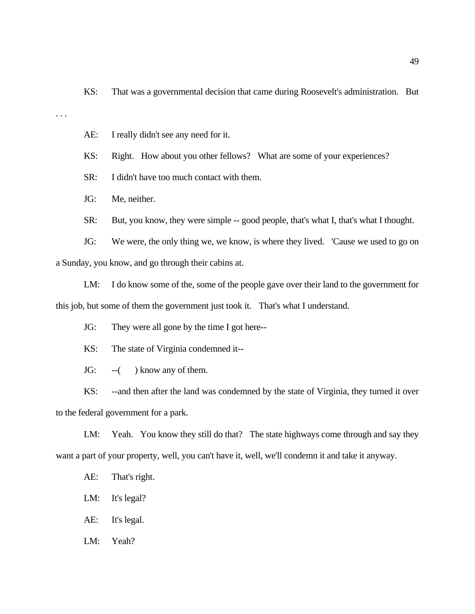KS: That was a governmental decision that came during Roosevelt's administration. But

. . .

AE: I really didn't see any need for it.

KS: Right. How about you other fellows? What are some of your experiences?

SR: I didn't have too much contact with them.

JG: Me, neither.

SR: But, you know, they were simple -- good people, that's what I, that's what I thought.

JG: We were, the only thing we, we know, is where they lived. 'Cause we used to go on a Sunday, you know, and go through their cabins at.

LM: I do know some of the, some of the people gave over their land to the government for this job, but some of them the government just took it. That's what I understand.

JG: They were all gone by the time I got here--

KS: The state of Virginia condemned it--

JG: --( ) know any of them.

KS: --and then after the land was condemned by the state of Virginia, they turned it over to the federal government for a park.

LM: Yeah. You know they still do that? The state highways come through and say they want a part of your property, well, you can't have it, well, we'll condemn it and take it anyway.

AE: That's right.

LM: It's legal?

AE: It's legal.

LM: Yeah?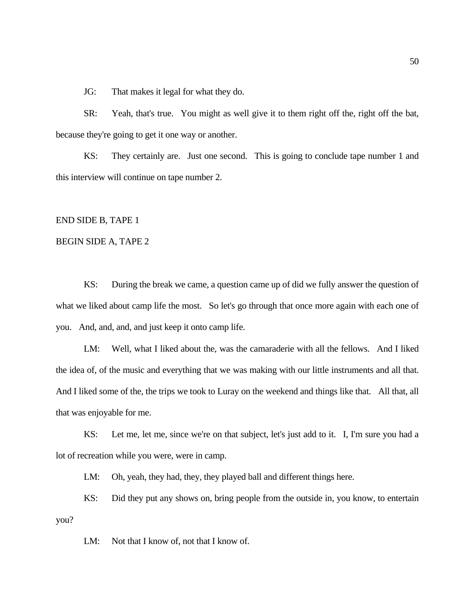JG: That makes it legal for what they do.

SR: Yeah, that's true. You might as well give it to them right off the, right off the bat, because they're going to get it one way or another.

KS: They certainly are. Just one second. This is going to conclude tape number 1 and this interview will continue on tape number 2.

END SIDE B, TAPE 1

#### BEGIN SIDE A, TAPE 2

KS: During the break we came, a question came up of did we fully answer the question of what we liked about camp life the most. So let's go through that once more again with each one of you. And, and, and, and just keep it onto camp life.

LM: Well, what I liked about the, was the camaraderie with all the fellows. And I liked the idea of, of the music and everything that we was making with our little instruments and all that. And I liked some of the, the trips we took to Luray on the weekend and things like that. All that, all that was enjoyable for me.

KS: Let me, let me, since we're on that subject, let's just add to it. I, I'm sure you had a lot of recreation while you were, were in camp.

LM: Oh, yeah, they had, they, they played ball and different things here.

KS: Did they put any shows on, bring people from the outside in, you know, to entertain you?

LM: Not that I know of, not that I know of.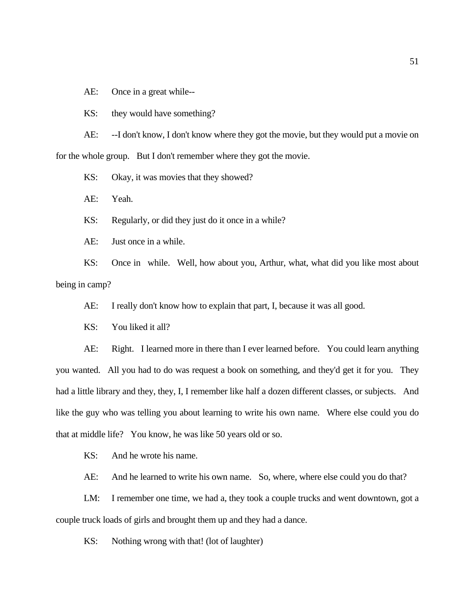AE: Once in a great while--

KS: they would have something?

AE: --I don't know, I don't know where they got the movie, but they would put a movie on for the whole group. But I don't remember where they got the movie.

KS: Okay, it was movies that they showed?

AE: Yeah.

KS: Regularly, or did they just do it once in a while?

AE: Just once in a while.

KS: Once in while. Well, how about you, Arthur, what, what did you like most about being in camp?

AE: I really don't know how to explain that part, I, because it was all good.

KS: You liked it all?

AE: Right. I learned more in there than I ever learned before. You could learn anything you wanted. All you had to do was request a book on something, and they'd get it for you. They had a little library and they, they, I, I remember like half a dozen different classes, or subjects. And like the guy who was telling you about learning to write his own name. Where else could you do that at middle life? You know, he was like 50 years old or so.

KS: And he wrote his name.

AE: And he learned to write his own name. So, where, where else could you do that?

LM: I remember one time, we had a, they took a couple trucks and went downtown, got a couple truck loads of girls and brought them up and they had a dance.

KS: Nothing wrong with that! (lot of laughter)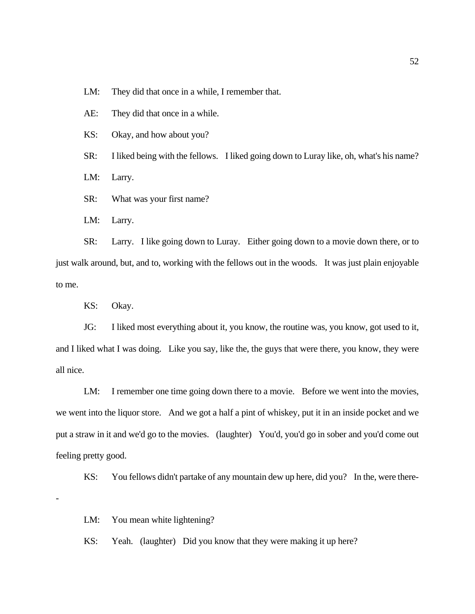LM: They did that once in a while, I remember that.

AE: They did that once in a while.

KS: Okay, and how about you?

SR: I liked being with the fellows. I liked going down to Luray like, oh, what's his name?

LM: Larry.

SR: What was your first name?

LM: Larry.

SR: Larry. I like going down to Luray. Either going down to a movie down there, or to just walk around, but, and to, working with the fellows out in the woods. It was just plain enjoyable to me.

KS: Okay.

-

JG: I liked most everything about it, you know, the routine was, you know, got used to it, and I liked what I was doing. Like you say, like the, the guys that were there, you know, they were all nice.

LM: I remember one time going down there to a movie. Before we went into the movies, we went into the liquor store. And we got a half a pint of whiskey, put it in an inside pocket and we put a straw in it and we'd go to the movies. (laughter) You'd, you'd go in sober and you'd come out feeling pretty good.

KS: You fellows didn't partake of any mountain dew up here, did you? In the, were there-

LM: You mean white lightening?

KS: Yeah. (laughter) Did you know that they were making it up here?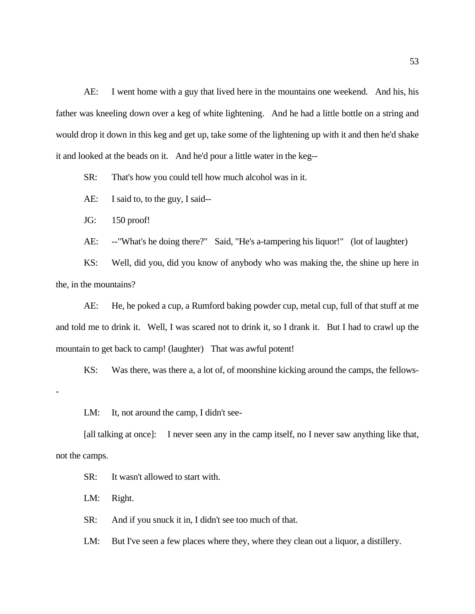AE: I went home with a guy that lived here in the mountains one weekend. And his, his father was kneeling down over a keg of white lightening. And he had a little bottle on a string and would drop it down in this keg and get up, take some of the lightening up with it and then he'd shake it and looked at the beads on it. And he'd pour a little water in the keg--

SR: That's how you could tell how much alcohol was in it.

AE: I said to, to the guy, I said--

JG: 150 proof!

AE: --"What's he doing there?" Said, "He's a-tampering his liquor!" (lot of laughter)

KS: Well, did you, did you know of anybody who was making the, the shine up here in the, in the mountains?

AE: He, he poked a cup, a Rumford baking powder cup, metal cup, full of that stuff at me and told me to drink it. Well, I was scared not to drink it, so I drank it. But I had to crawl up the mountain to get back to camp! (laughter) That was awful potent!

KS: Was there, was there a, a lot of, of moonshine kicking around the camps, the fellows-

LM: It, not around the camp, I didn't see-

[all talking at once]: I never seen any in the camp itself, no I never saw anything like that, not the camps.

SR: It wasn't allowed to start with.

LM: Right.

-

SR: And if you snuck it in, I didn't see too much of that.

LM: But I've seen a few places where they, where they clean out a liquor, a distillery.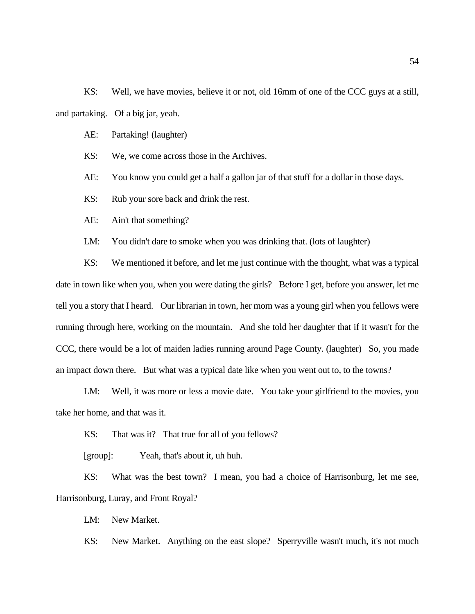KS: Well, we have movies, believe it or not, old 16mm of one of the CCC guys at a still, and partaking. Of a big jar, yeah.

AE: Partaking! (laughter)

KS: We, we come across those in the Archives.

AE: You know you could get a half a gallon jar of that stuff for a dollar in those days.

KS: Rub your sore back and drink the rest.

AE: Ain't that something?

LM: You didn't dare to smoke when you was drinking that. (lots of laughter)

KS: We mentioned it before, and let me just continue with the thought, what was a typical date in town like when you, when you were dating the girls? Before I get, before you answer, let me tell you a story that I heard. Our librarian in town, her mom was a young girl when you fellows were running through here, working on the mountain. And she told her daughter that if it wasn't for the CCC, there would be a lot of maiden ladies running around Page County. (laughter) So, you made an impact down there. But what was a typical date like when you went out to, to the towns?

LM: Well, it was more or less a movie date. You take your girlfriend to the movies, you take her home, and that was it.

KS: That was it? That true for all of you fellows?

[group]: Yeah, that's about it, uh huh.

KS: What was the best town? I mean, you had a choice of Harrisonburg, let me see, Harrisonburg, Luray, and Front Royal?

LM: New Market.

KS: New Market. Anything on the east slope? Sperryville wasn't much, it's not much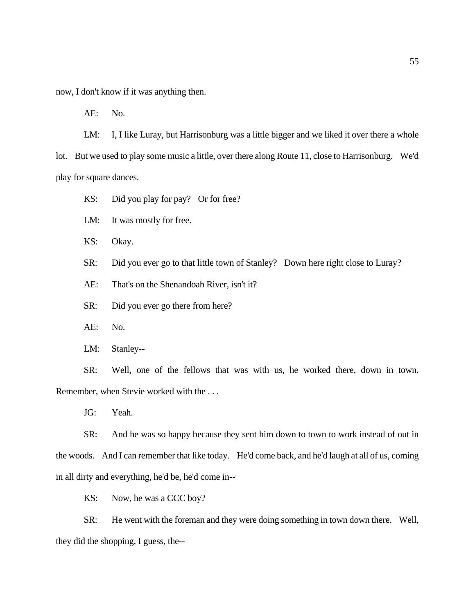now, I don't know if it was anything then.

AE: No.

LM: I, I like Luray, but Harrisonburg was a little bigger and we liked it over there a whole lot. But we used to play some music a little, over there along Route 11, close to Harrisonburg. We'd play for square dances.

KS: Did you play for pay? Or for free?

LM: It was mostly for free.

KS: Okay.

SR: Did you ever go to that little town of Stanley? Down here right close to Luray?

AE: That's on the Shenandoah River, isn't it?

SR: Did you ever go there from here?

AE: No.

LM: Stanley--

SR: Well, one of the fellows that was with us, he worked there, down in town. Remember, when Stevie worked with the . . .

JG: Yeah.

SR: And he was so happy because they sent him down to town to work instead of out in the woods. And I can remember that like today. He'd come back, and he'd laugh at all of us, coming in all dirty and everything, he'd be, he'd come in--

KS: Now, he was a CCC boy?

SR: He went with the foreman and they were doing something in town down there. Well, they did the shopping, I guess, the--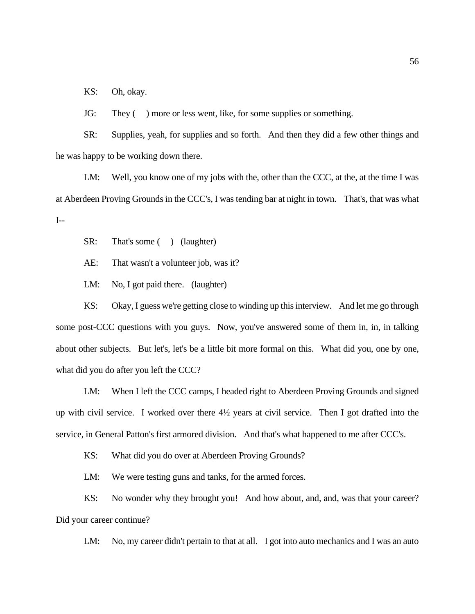KS: Oh, okay.

JG: They ( ) more or less went, like, for some supplies or something.

SR: Supplies, yeah, for supplies and so forth. And then they did a few other things and he was happy to be working down there.

LM: Well, you know one of my jobs with the, other than the CCC, at the, at the time I was at Aberdeen Proving Grounds in the CCC's, I was tending bar at night in town. That's, that was what I--

SR: That's some ( ) (laughter)

AE: That wasn't a volunteer job, was it?

LM: No, I got paid there. (laughter)

KS: Okay, I guess we're getting close to winding up this interview. And let me go through some post-CCC questions with you guys. Now, you've answered some of them in, in, in talking about other subjects. But let's, let's be a little bit more formal on this. What did you, one by one, what did you do after you left the CCC?

LM: When I left the CCC camps, I headed right to Aberdeen Proving Grounds and signed up with civil service. I worked over there 4½ years at civil service. Then I got drafted into the service, in General Patton's first armored division. And that's what happened to me after CCC's.

KS: What did you do over at Aberdeen Proving Grounds?

LM: We were testing guns and tanks, for the armed forces.

KS: No wonder why they brought you! And how about, and, and, was that your career? Did your career continue?

LM: No, my career didn't pertain to that at all. I got into auto mechanics and I was an auto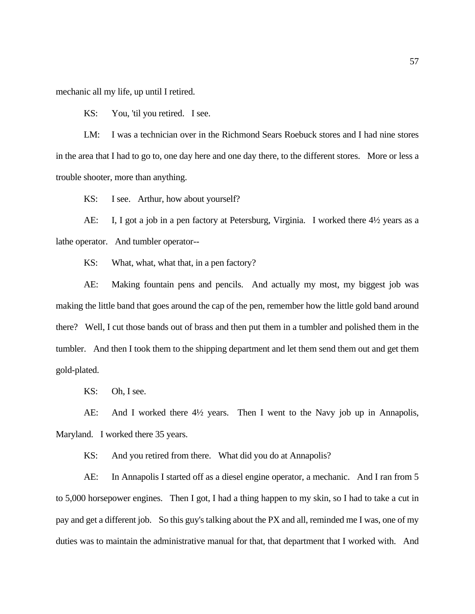mechanic all my life, up until I retired.

KS: You, 'til you retired. I see.

LM: I was a technician over in the Richmond Sears Roebuck stores and I had nine stores in the area that I had to go to, one day here and one day there, to the different stores. More or less a trouble shooter, more than anything.

KS: I see. Arthur, how about yourself?

AE: I, I got a job in a pen factory at Petersburg, Virginia. I worked there 4½ years as a lathe operator. And tumbler operator--

KS: What, what, what that, in a pen factory?

AE: Making fountain pens and pencils. And actually my most, my biggest job was making the little band that goes around the cap of the pen, remember how the little gold band around there? Well, I cut those bands out of brass and then put them in a tumbler and polished them in the tumbler. And then I took them to the shipping department and let them send them out and get them gold-plated.

KS: Oh, I see.

AE: And I worked there 4½ years. Then I went to the Navy job up in Annapolis, Maryland. I worked there 35 years.

KS: And you retired from there. What did you do at Annapolis?

AE: In Annapolis I started off as a diesel engine operator, a mechanic. And I ran from 5 to 5,000 horsepower engines. Then I got, I had a thing happen to my skin, so I had to take a cut in pay and get a different job. So this guy's talking about the PX and all, reminded me I was, one of my duties was to maintain the administrative manual for that, that department that I worked with. And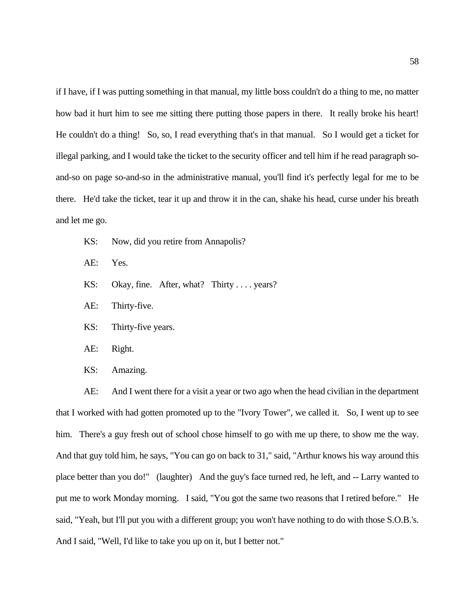if I have, if I was putting something in that manual, my little boss couldn't do a thing to me, no matter how bad it hurt him to see me sitting there putting those papers in there. It really broke his heart! He couldn't do a thing! So, so, I read everything that's in that manual. So I would get a ticket for illegal parking, and I would take the ticket to the security officer and tell him if he read paragraph soand-so on page so-and-so in the administrative manual, you'll find it's perfectly legal for me to be there. He'd take the ticket, tear it up and throw it in the can, shake his head, curse under his breath and let me go.

- KS: Now, did you retire from Annapolis?
- AE: Yes.
- KS: Okay, fine. After, what? Thirty . . . . years?
- AE: Thirty-five.
- KS: Thirty-five years.
- AE: Right.
- KS: Amazing.

AE: And I went there for a visit a year or two ago when the head civilian in the department that I worked with had gotten promoted up to the "Ivory Tower", we called it. So, I went up to see him. There's a guy fresh out of school chose himself to go with me up there, to show me the way. And that guy told him, he says, "You can go on back to 31," said, "Arthur knows his way around this place better than you do!" (laughter) And the guy's face turned red, he left, and -- Larry wanted to put me to work Monday morning. I said, "You got the same two reasons that I retired before." He said, "Yeah, but I'll put you with a different group; you won't have nothing to do with those S.O.B.'s. And I said, "Well, I'd like to take you up on it, but I better not."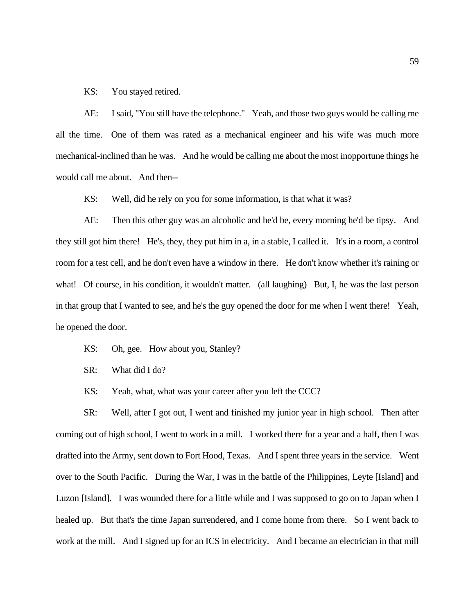KS: You stayed retired.

AE: I said, "You still have the telephone." Yeah, and those two guys would be calling me all the time. One of them was rated as a mechanical engineer and his wife was much more mechanical-inclined than he was. And he would be calling me about the most inopportune things he would call me about. And then--

KS: Well, did he rely on you for some information, is that what it was?

AE: Then this other guy was an alcoholic and he'd be, every morning he'd be tipsy. And they still got him there! He's, they, they put him in a, in a stable, I called it. It's in a room, a control room for a test cell, and he don't even have a window in there. He don't know whether it's raining or what! Of course, in his condition, it wouldn't matter. (all laughing) But, I, he was the last person in that group that I wanted to see, and he's the guy opened the door for me when I went there! Yeah, he opened the door.

- KS: Oh, gee. How about you, Stanley?
- SR: What did I do?
- KS: Yeah, what, what was your career after you left the CCC?

SR: Well, after I got out, I went and finished my junior year in high school. Then after coming out of high school, I went to work in a mill. I worked there for a year and a half, then I was drafted into the Army, sent down to Fort Hood, Texas. And I spent three years in the service. Went over to the South Pacific. During the War, I was in the battle of the Philippines, Leyte [Island] and Luzon [Island]. I was wounded there for a little while and I was supposed to go on to Japan when I healed up. But that's the time Japan surrendered, and I come home from there. So I went back to work at the mill. And I signed up for an ICS in electricity. And I became an electrician in that mill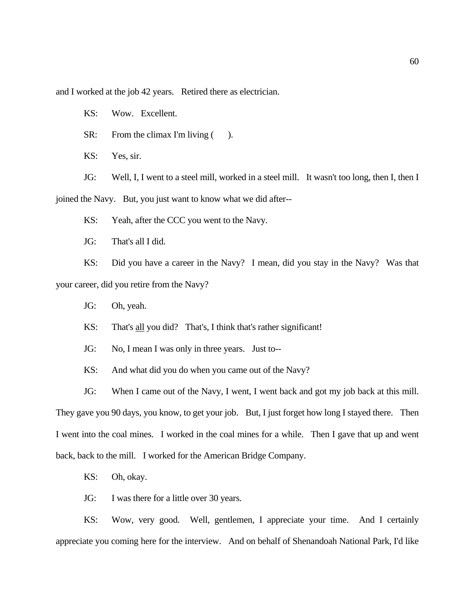and I worked at the job 42 years. Retired there as electrician.

KS: Wow. Excellent.

SR: From the climax I'm living ().

KS: Yes, sir.

JG: Well, I, I went to a steel mill, worked in a steel mill. It wasn't too long, then I, then I joined the Navy. But, you just want to know what we did after--

KS: Yeah, after the CCC you went to the Navy.

JG: That's all I did.

KS: Did you have a career in the Navy? I mean, did you stay in the Navy? Was that your career, did you retire from the Navy?

JG: Oh, yeah.

KS: That's all you did? That's, I think that's rather significant!

JG: No, I mean I was only in three years. Just to--

KS: And what did you do when you came out of the Navy?

JG: When I came out of the Navy, I went, I went back and got my job back at this mill. They gave you 90 days, you know, to get your job. But, I just forget how long I stayed there. Then I went into the coal mines. I worked in the coal mines for a while. Then I gave that up and went back, back to the mill. I worked for the American Bridge Company.

KS: Oh, okay.

JG: I was there for a little over 30 years.

KS: Wow, very good. Well, gentlemen, I appreciate your time. And I certainly appreciate you coming here for the interview. And on behalf of Shenandoah National Park, I'd like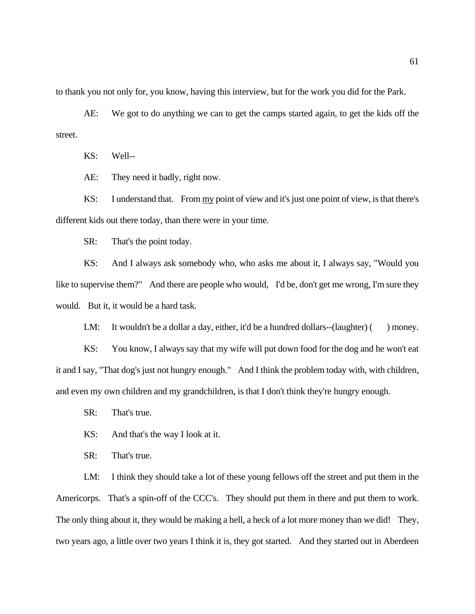to thank you not only for, you know, having this interview, but for the work you did for the Park.

AE: We got to do anything we can to get the camps started again, to get the kids off the street.

KS: Well--

AE: They need it badly, right now.

KS: I understand that. From my point of view and it's just one point of view, is that there's different kids out there today, than there were in your time.

SR: That's the point today.

KS: And I always ask somebody who, who asks me about it, I always say, "Would you like to supervise them?" And there are people who would, I'd be, don't get me wrong, I'm sure they would. But it, it would be a hard task.

LM: It wouldn't be a dollar a day, either, it'd be a hundred dollars--(laughter)  $($  ) money.

KS: You know, I always say that my wife will put down food for the dog and he won't eat it and I say, "That dog's just not hungry enough." And I think the problem today with, with children, and even my own children and my grandchildren, is that I don't think they're hungry enough.

SR: That's true.

KS: And that's the way I look at it.

SR: That's true.

LM: I think they should take a lot of these young fellows off the street and put them in the Americorps. That's a spin-off of the CCC's. They should put them in there and put them to work. The only thing about it, they would be making a hell, a heck of a lot more money than we did! They, two years ago, a little over two years I think it is, they got started. And they started out in Aberdeen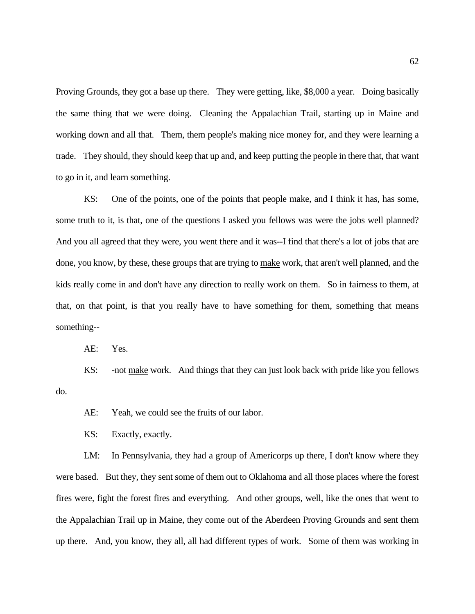Proving Grounds, they got a base up there. They were getting, like, \$8,000 a year. Doing basically the same thing that we were doing. Cleaning the Appalachian Trail, starting up in Maine and working down and all that. Them, them people's making nice money for, and they were learning a trade. They should, they should keep that up and, and keep putting the people in there that, that want to go in it, and learn something.

KS: One of the points, one of the points that people make, and I think it has, has some, some truth to it, is that, one of the questions I asked you fellows was were the jobs well planned? And you all agreed that they were, you went there and it was--I find that there's a lot of jobs that are done, you know, by these, these groups that are trying to make work, that aren't well planned, and the kids really come in and don't have any direction to really work on them. So in fairness to them, at that, on that point, is that you really have to have something for them, something that means something--

AE: Yes.

KS: - not make work. And things that they can just look back with pride like you fellows do.

AE: Yeah, we could see the fruits of our labor.

KS: Exactly, exactly.

LM: In Pennsylvania, they had a group of Americorps up there, I don't know where they were based. But they, they sent some of them out to Oklahoma and all those places where the forest fires were, fight the forest fires and everything. And other groups, well, like the ones that went to the Appalachian Trail up in Maine, they come out of the Aberdeen Proving Grounds and sent them up there. And, you know, they all, all had different types of work. Some of them was working in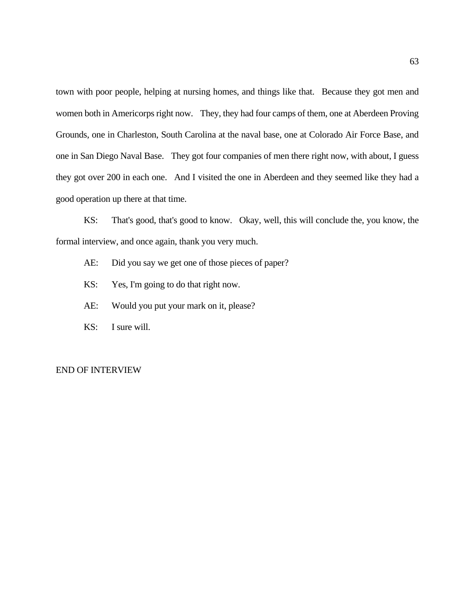town with poor people, helping at nursing homes, and things like that. Because they got men and women both in Americorps right now. They, they had four camps of them, one at Aberdeen Proving Grounds, one in Charleston, South Carolina at the naval base, one at Colorado Air Force Base, and one in San Diego Naval Base. They got four companies of men there right now, with about, I guess they got over 200 in each one. And I visited the one in Aberdeen and they seemed like they had a good operation up there at that time.

KS: That's good, that's good to know. Okay, well, this will conclude the, you know, the formal interview, and once again, thank you very much.

- AE: Did you say we get one of those pieces of paper?
- KS: Yes, I'm going to do that right now.
- AE: Would you put your mark on it, please?
- KS: I sure will.

### END OF INTERVIEW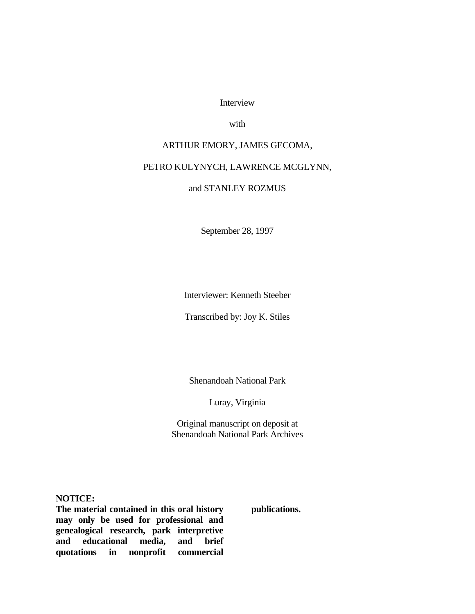Interview

with

# ARTHUR EMORY, JAMES GECOMA,

## PETRO KULYNYCH, LAWRENCE MCGLYNN,

# and STANLEY ROZMUS

September 28, 1997

Interviewer: Kenneth Steeber

Transcribed by: Joy K. Stiles

Shenandoah National Park

Luray, Virginia

Original manuscript on deposit at Shenandoah National Park Archives

**NOTICE:**

**The material contained in this oral history may only be used for professional and genealogical research, park interpretive and educational media, and brief quotations in nonprofit commercial** 

**publications.**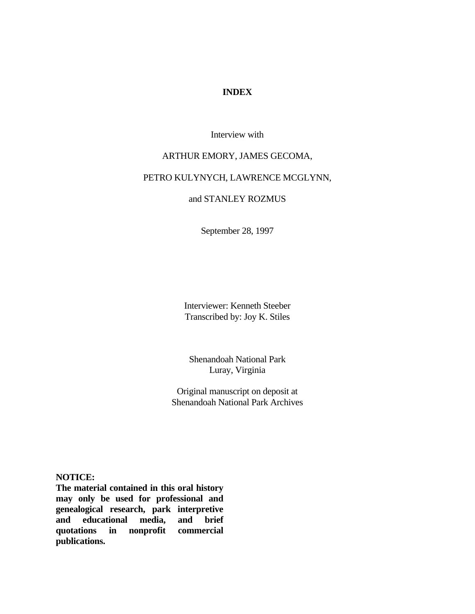## **INDEX**

Interview with

### ARTHUR EMORY, JAMES GECOMA,

# PETRO KULYNYCH, LAWRENCE MCGLYNN,

## and STANLEY ROZMUS

September 28, 1997

Interviewer: Kenneth Steeber Transcribed by: Joy K. Stiles

Shenandoah National Park Luray, Virginia

Original manuscript on deposit at Shenandoah National Park Archives

**NOTICE:**

**The material contained in this oral history may only be used for professional and genealogical research, park interpretive and educational media, and brief quotations in nonprofit commercial publications.**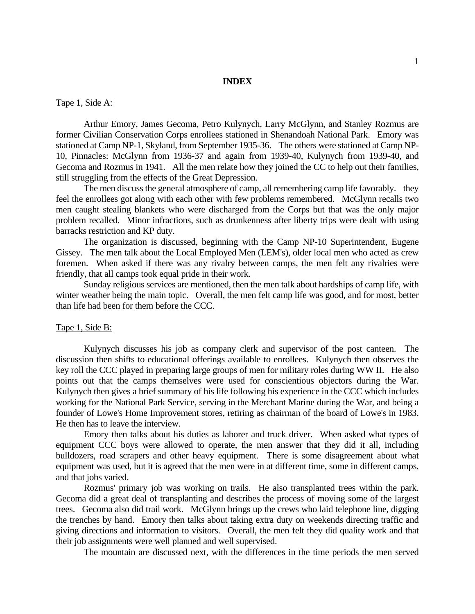### **INDEX**

### Tape 1, Side A:

Arthur Emory, James Gecoma, Petro Kulynych, Larry McGlynn, and Stanley Rozmus are former Civilian Conservation Corps enrollees stationed in Shenandoah National Park. Emory was stationed at Camp NP-1, Skyland, from September 1935-36. The others were stationed at Camp NP-10, Pinnacles: McGlynn from 1936-37 and again from 1939-40, Kulynych from 1939-40, and Gecoma and Rozmus in 1941. All the men relate how they joined the CC to help out their families, still struggling from the effects of the Great Depression.

The men discuss the general atmosphere of camp, all remembering camp life favorably. they feel the enrollees got along with each other with few problems remembered. McGlynn recalls two men caught stealing blankets who were discharged from the Corps but that was the only major problem recalled. Minor infractions, such as drunkenness after liberty trips were dealt with using barracks restriction and KP duty.

The organization is discussed, beginning with the Camp NP-10 Superintendent, Eugene Gissey. The men talk about the Local Employed Men (LEM's), older local men who acted as crew foremen. When asked if there was any rivalry between camps, the men felt any rivalries were friendly, that all camps took equal pride in their work.

Sunday religious services are mentioned, then the men talk about hardships of camp life, with winter weather being the main topic. Overall, the men felt camp life was good, and for most, better than life had been for them before the CCC.

#### Tape 1, Side B:

Kulynych discusses his job as company clerk and supervisor of the post canteen. The discussion then shifts to educational offerings available to enrollees. Kulynych then observes the key roll the CCC played in preparing large groups of men for military roles during WW II. He also points out that the camps themselves were used for conscientious objectors during the War. Kulynych then gives a brief summary of his life following his experience in the CCC which includes working for the National Park Service, serving in the Merchant Marine during the War, and being a founder of Lowe's Home Improvement stores, retiring as chairman of the board of Lowe's in 1983. He then has to leave the interview.

Emory then talks about his duties as laborer and truck driver. When asked what types of equipment CCC boys were allowed to operate, the men answer that they did it all, including bulldozers, road scrapers and other heavy equipment. There is some disagreement about what equipment was used, but it is agreed that the men were in at different time, some in different camps, and that jobs varied.

Rozmus' primary job was working on trails. He also transplanted trees within the park. Gecoma did a great deal of transplanting and describes the process of moving some of the largest trees. Gecoma also did trail work. McGlynn brings up the crews who laid telephone line, digging the trenches by hand. Emory then talks about taking extra duty on weekends directing traffic and giving directions and information to visitors. Overall, the men felt they did quality work and that their job assignments were well planned and well supervised.

The mountain are discussed next, with the differences in the time periods the men served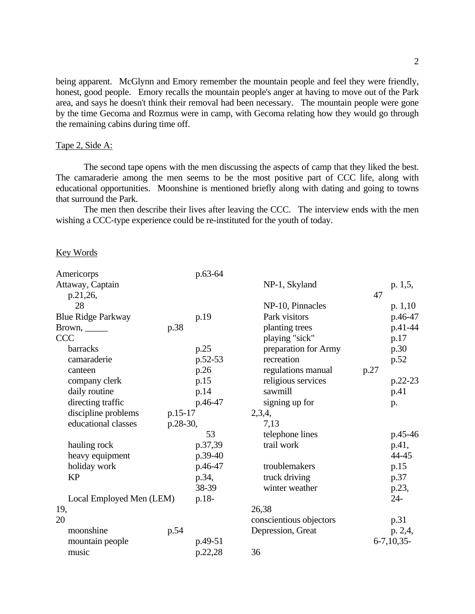being apparent. McGlynn and Emory remember the mountain people and feel they were friendly, honest, good people. Emory recalls the mountain people's anger at having to move out of the Park area, and says he doesn't think their removal had been necessary. The mountain people were gone by the time Gecoma and Rozmus were in camp, with Gecoma relating how they would go through the remaining cabins during time off.

# Tape 2, Side A:

The second tape opens with the men discussing the aspects of camp that they liked the best. The camaraderie among the men seems to be the most positive part of CCC life, along with educational opportunities. Moonshine is mentioned briefly along with dating and going to towns that surround the Park.

The men then describe their lives after leaving the CCC. The interview ends with the men wishing a CCC-type experience could be re-instituted for the youth of today.

#### Key Words

| p.63-64                  |                                                                  |                                                |              |
|--------------------------|------------------------------------------------------------------|------------------------------------------------|--------------|
|                          | NP-1, Skyland                                                    |                                                | p. 1,5,      |
|                          |                                                                  | 47                                             |              |
|                          | NP-10, Pinnacles                                                 |                                                | p. 1, 10     |
| p.19                     | Park visitors                                                    |                                                | p.46-47      |
| p.38                     | planting trees                                                   |                                                | p.41-44      |
|                          | playing "sick"                                                   |                                                | p.17         |
| p.25                     | preparation for Army                                             |                                                | p.30         |
| p.52-53                  | recreation                                                       |                                                | p.52         |
| p.26                     | regulations manual                                               | p.27                                           |              |
| p.15                     | religious services                                               |                                                | $p.22-23$    |
| p.14                     | sawmill                                                          |                                                | p.41         |
| p.46-47                  | signing up for                                                   |                                                | p.           |
| p.15-17                  | 2,3,4,                                                           |                                                |              |
| p.28-30,                 | 7,13                                                             |                                                |              |
| 53                       | telephone lines                                                  |                                                | p.45-46      |
| p.37,39                  | trail work                                                       |                                                | p.41,        |
|                          |                                                                  |                                                | 44-45        |
|                          | troublemakers                                                    |                                                | p.15         |
|                          |                                                                  |                                                | p.37         |
|                          |                                                                  |                                                | p.23,        |
| Local Employed Men (LEM) |                                                                  |                                                | $24 -$       |
|                          |                                                                  |                                                |              |
|                          | conscientious objectors                                          |                                                | p.31         |
|                          | Depression, Great                                                |                                                | p. 2,4,      |
| p.49-51                  |                                                                  |                                                | $6-7,10,35-$ |
|                          |                                                                  |                                                |              |
|                          | p.39-40<br>p.46-47<br>p.34,<br>38-39<br>p.18-<br>p.54<br>p.22,28 | truck driving<br>winter weather<br>26,38<br>36 |              |